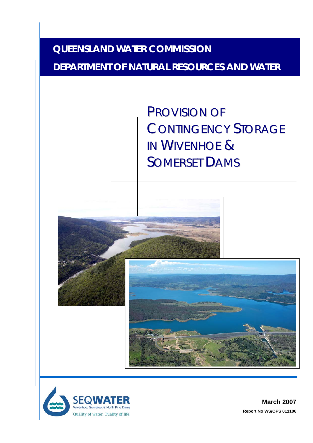### **QUEENSLAND WATER COMMISSION**

### **DEPARTMENT OF NATURAL RESOURCES AND WATER**

PROVISION OF CONTINGENCY STORAGE IN WIVENHOE & SOMERSET DAMS



**March 2007 Report No WS/OPS 011106**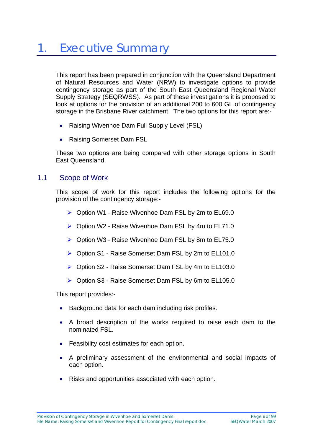This report has been prepared in conjunction with the Queensland Department of Natural Resources and Water (NRW) to investigate options to provide contingency storage as part of the South East Queensland Regional Water Supply Strategy (SEQRWSS). As part of these investigations it is proposed to look at options for the provision of an additional 200 to 600 GL of contingency storage in the Brisbane River catchment. The two options for this report are:-

- Raising Wivenhoe Dam Full Supply Level (FSL)
- Raising Somerset Dam FSL

These two options are being compared with other storage options in South East Queensland.

#### 1.1 Scope of Work

This scope of work for this report includes the following options for the provision of the contingency storage:-

- $\triangleright$  Option W1 Raise Wivenhoe Dam FSL by 2m to EL69.0
- $\triangleright$  Option W2 Raise Wivenhoe Dam FSL by 4m to EL71.0
- ¾ Option W3 Raise Wivenhoe Dam FSL by 8m to EL75.0
- ¾ Option S1 Raise Somerset Dam FSL by 2m to EL101.0
- ¾ Option S2 Raise Somerset Dam FSL by 4m to EL103.0
- ¾ Option S3 Raise Somerset Dam FSL by 6m to EL105.0

This report provides:-

- Background data for each dam including risk profiles.
- A broad description of the works required to raise each dam to the nominated FSL.
- Feasibility cost estimates for each option.
- A preliminary assessment of the environmental and social impacts of each option.
- Risks and opportunities associated with each option.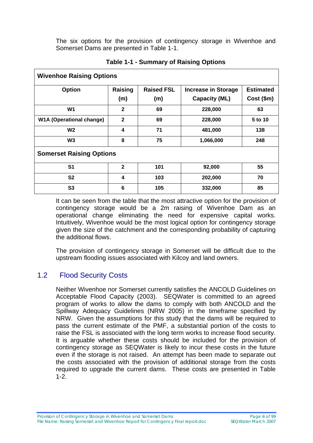The six options for the provision of contingency storage in Wivenhoe and Somerset Dams are presented in Table 1-1.

| <b>Wivenhoe Raising Options</b> |                |                   |                            |                  |  |  |  |  |
|---------------------------------|----------------|-------------------|----------------------------|------------------|--|--|--|--|
| <b>Option</b>                   | Raising        | <b>Raised FSL</b> | <b>Increase in Storage</b> | <b>Estimated</b> |  |  |  |  |
|                                 | (m)            | (m)               | <b>Capacity (ML)</b>       | Cost (\$m)       |  |  |  |  |
| W <sub>1</sub>                  | $\mathbf{2}$   | 69                | 228,000                    | 63               |  |  |  |  |
| <b>W1A (Operational change)</b> | $\mathbf{2}$   | 69                | 228,000                    | 5 to 10          |  |  |  |  |
| <b>W2</b>                       | 4              | 71                | 481,000                    | 138              |  |  |  |  |
| W <sub>3</sub>                  | 8              | 75                | 1,066,000                  | 248              |  |  |  |  |
| <b>Somerset Raising Options</b> |                |                   |                            |                  |  |  |  |  |
| S <sub>1</sub>                  | $\overline{2}$ | 101               | 92,000                     | 55               |  |  |  |  |
| S <sub>2</sub>                  | 4              | 103               | 202,000                    | 70               |  |  |  |  |
| S <sub>3</sub>                  | 6              | 105               | 332,000                    | 85               |  |  |  |  |

#### **Table 1-1 - Summary of Raising Options**

It can be seen from the table that the most attractive option for the provision of contingency storage would be a 2m raising of Wivenhoe Dam as an operational change eliminating the need for expensive capital works. Intuitively, Wivenhoe would be the most logical option for contingency storage given the size of the catchment and the corresponding probability of capturing the additional flows.

The provision of contingency storage in Somerset will be difficult due to the upstream flooding issues associated with Kilcoy and land owners.

#### 1.2 Flood Security Costs

Neither Wivenhoe nor Somerset currently satisfies the ANCOLD Guidelines on Acceptable Flood Capacity (2003). SEQWater is committed to an agreed program of works to allow the dams to comply with both ANCOLD and the Spillway Adequacy Guidelines (NRW 2005) in the timeframe specified by NRW. Given the assumptions for this study that the dams will be required to pass the current estimate of the PMF, a substantial portion of the costs to raise the FSL is associated with the long term works to increase flood security. It is arguable whether these costs should be included for the provision of contingency storage as SEQWater is likely to incur these costs in the future even if the storage is not raised. An attempt has been made to separate out the costs associated with the provision of additional storage from the costs required to upgrade the current dams. These costs are presented in Table 1-2.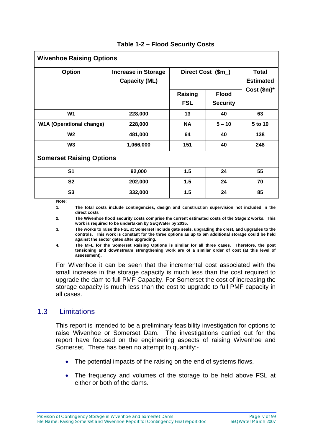| <b>Wivenhoe Raising Options</b> |                                                    |                       |                                  |                |  |  |  |  |
|---------------------------------|----------------------------------------------------|-----------------------|----------------------------------|----------------|--|--|--|--|
| <b>Option</b>                   | <b>Increase in Storage</b><br><b>Capacity (ML)</b> | Direct Cost (\$m_)    | <b>Total</b><br><b>Estimated</b> |                |  |  |  |  |
|                                 |                                                    | Raising<br><b>FSL</b> | <b>Flood</b><br><b>Security</b>  | Cost $(\$m)^*$ |  |  |  |  |
| W <sub>1</sub>                  | 228,000                                            | 13                    | 40                               | 63             |  |  |  |  |
| <b>W1A (Operational change)</b> | 228,000                                            | <b>NA</b>             | $5 - 10$                         | 5 to 10        |  |  |  |  |
| W <sub>2</sub>                  | 481,000                                            | 64                    | 40                               | 138            |  |  |  |  |
| W <sub>3</sub>                  | 1,066,000                                          | 151                   | 40                               | 248            |  |  |  |  |
| <b>Somerset Raising Options</b> |                                                    |                       |                                  |                |  |  |  |  |
| S <sub>1</sub>                  | 92,000                                             | 1.5                   | 24                               | 55             |  |  |  |  |
| <b>S2</b>                       | 202,000                                            | 1.5                   | 24                               | 70             |  |  |  |  |
| S3                              | 332,000                                            | 1.5                   | 24                               | 85             |  |  |  |  |
| Note:                           |                                                    |                       |                                  |                |  |  |  |  |

 **Note:** 

**1. The total costs include contingencies, design and construction supervision not included in the direct costs** 

**2. The Wivenhoe flood security costs comprise the current estimated costs of the Stage 2 works. This work is required to be undertaken by SEQWater by 2035.** 

**3. The works to raise the FSL at Somerset include gate seals, upgrading the crest, and upgrades to the controls. This work is constant for the three options as up to 6m additional storage could be held against the sector gates after upgrading.** 

**4. The MFL for the Somerset Raising Options is similar for all three cases. Therefore, the post tensioning and downstream strengthening work are of a similar order of cost (at this level of assessment).** 

For Wivenhoe it can be seen that the incremental cost associated with the small increase in the storage capacity is much less than the cost required to upgrade the dam to full PMF Capacity. For Somerset the cost of increasing the storage capacity is much less than the cost to upgrade to full PMF capacity in all cases.

#### 1.3 Limitations

This report is intended to be a preliminary feasibility investigation for options to raise Wivenhoe or Somerset Dam. The investigations carried out for the report have focused on the engineering aspects of raising Wivenhoe and Somerset. There has been no attempt to quantify:-

- The potential impacts of the raising on the end of systems flows.
- The frequency and volumes of the storage to be held above FSL at either or both of the dams.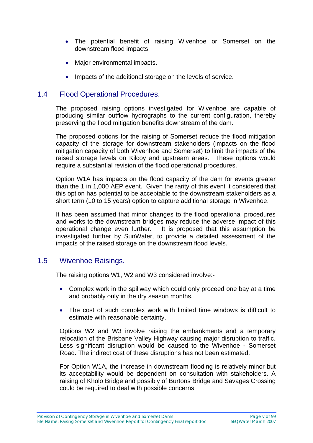- The potential benefit of raising Wivenhoe or Somerset on the downstream flood impacts.
- Major environmental impacts.
- Impacts of the additional storage on the levels of service.

#### 1.4 Flood Operational Procedures.

The proposed raising options investigated for Wivenhoe are capable of producing similar outflow hydrographs to the current configuration, thereby preserving the flood mitigation benefits downstream of the dam.

The proposed options for the raising of Somerset reduce the flood mitigation capacity of the storage for downstream stakeholders (impacts on the flood mitigation capacity of both Wivenhoe and Somerset) to limit the impacts of the raised storage levels on Kilcoy and upstream areas. These options would require a substantial revision of the flood operational procedures.

Option W1A has impacts on the flood capacity of the dam for events greater than the 1 in 1,000 AEP event. Given the rarity of this event it considered that this option has potential to be acceptable to the downstream stakeholders as a short term (10 to 15 years) option to capture additional storage in Wivenhoe.

It has been assumed that minor changes to the flood operational procedures and works to the downstream bridges may reduce the adverse impact of this operational change even further. It is proposed that this assumption be investigated further by SunWater, to provide a detailed assessment of the impacts of the raised storage on the downstream flood levels.

#### 1.5 Wivenhoe Raisings.

The raising options W1, W2 and W3 considered involve:-

- Complex work in the spillway which could only proceed one bay at a time and probably only in the dry season months.
- The cost of such complex work with limited time windows is difficult to estimate with reasonable certainty.

Options W2 and W3 involve raising the embankments and a temporary relocation of the Brisbane Valley Highway causing major disruption to traffic. Less significant disruption would be caused to the Wivenhoe - Somerset Road. The indirect cost of these disruptions has not been estimated.

For Option W1A, the increase in downstream flooding is relatively minor but its acceptability would be dependent on consultation with stakeholders. A raising of Kholo Bridge and possibly of Burtons Bridge and Savages Crossing could be required to deal with possible concerns.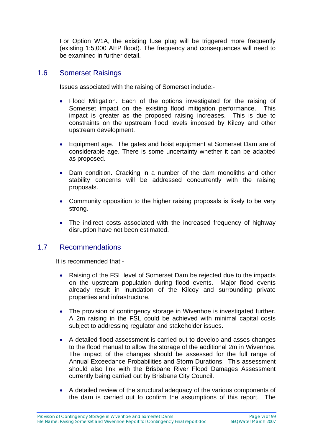For Option W1A, the existing fuse plug will be triggered more frequently (existing 1:5,000 AEP flood). The frequency and consequences will need to be examined in further detail.

#### 1.6 Somerset Raisings

Issues associated with the raising of Somerset include:-

- Flood Mitigation. Each of the options investigated for the raising of Somerset impact on the existing flood mitigation performance. This impact is greater as the proposed raising increases. This is due to constraints on the upstream flood levels imposed by Kilcoy and other upstream development.
- Equipment age. The gates and hoist equipment at Somerset Dam are of considerable age. There is some uncertainty whether it can be adapted as proposed.
- Dam condition. Cracking in a number of the dam monoliths and other stability concerns will be addressed concurrently with the raising proposals.
- Community opposition to the higher raising proposals is likely to be very strong.
- The indirect costs associated with the increased frequency of highway disruption have not been estimated.

#### 1.7 Recommendations

It is recommended that:-

- Raising of the FSL level of Somerset Dam be rejected due to the impacts on the upstream population during flood events. Major flood events already result in inundation of the Kilcoy and surrounding private properties and infrastructure.
- The provision of contingency storage in Wivenhoe is investigated further. A 2m raising in the FSL could be achieved with minimal capital costs subject to addressing regulator and stakeholder issues.
- A detailed flood assessment is carried out to develop and asses changes to the flood manual to allow the storage of the additional 2m in Wivenhoe. The impact of the changes should be assessed for the full range of Annual Exceedance Probabilities and Storm Durations. This assessment should also link with the Brisbane River Flood Damages Assessment currently being carried out by Brisbane City Council.
- A detailed review of the structural adequacy of the various components of the dam is carried out to confirm the assumptions of this report. The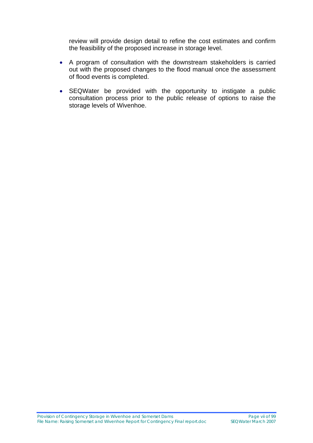review will provide design detail to refine the cost estimates and confirm the feasibility of the proposed increase in storage level.

- A program of consultation with the downstream stakeholders is carried out with the proposed changes to the flood manual once the assessment of flood events is completed.
- SEQWater be provided with the opportunity to instigate a public consultation process prior to the public release of options to raise the storage levels of Wivenhoe.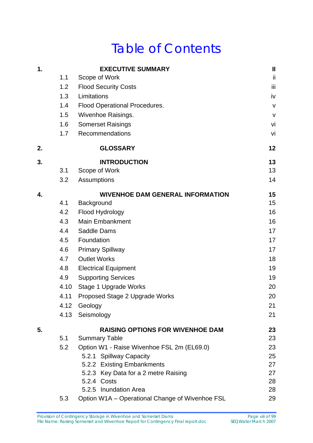# Table of Contents

| 1. |      | <b>EXECUTIVE SUMMARY</b>                        | $\mathbf{II}$ |
|----|------|-------------------------------------------------|---------------|
|    | 1.1  | Scope of Work                                   | ii            |
|    | 1.2  | <b>Flood Security Costs</b>                     | Ϊij           |
|    | 1.3  | Limitations                                     | iv            |
|    | 1.4  | <b>Flood Operational Procedures.</b>            | $\mathsf{V}$  |
|    | 1.5  | <b>Wivenhoe Raisings.</b>                       | $\mathsf{V}$  |
|    | 1.6  | <b>Somerset Raisings</b>                        | vi            |
|    | 1.7  | Recommendations                                 | vi            |
| 2. |      | <b>GLOSSARY</b>                                 | 12            |
| 3. |      | <b>INTRODUCTION</b>                             | 13            |
|    | 3.1  | Scope of Work                                   | 13            |
|    | 3.2  | Assumptions                                     | 14            |
| 4. |      | <b>WIVENHOE DAM GENERAL INFORMATION</b>         | 15            |
|    | 4.1  | Background                                      | 15            |
|    | 4.2  | Flood Hydrology                                 | 16            |
|    | 4.3  | <b>Main Embankment</b>                          | 16            |
|    | 4.4  | Saddle Dams                                     | 17            |
|    | 4.5  | Foundation                                      | 17            |
|    | 4.6  | <b>Primary Spillway</b>                         | 17            |
|    | 4.7  | <b>Outlet Works</b>                             | 18            |
|    | 4.8  | <b>Electrical Equipment</b>                     | 19            |
|    | 4.9  | <b>Supporting Services</b>                      | 19            |
|    | 4.10 | Stage 1 Upgrade Works                           | 20            |
|    | 4.11 | Proposed Stage 2 Upgrade Works                  | 20            |
|    | 4.12 | Geology                                         | 21            |
|    | 4.13 | Seismology                                      | 21            |
| 5. |      | <b>RAISING OPTIONS FOR WIVENHOE DAM</b>         | 23            |
|    | 5.1  | <b>Summary Table</b>                            | 23            |
|    | 5.2  | Option W1 - Raise Wivenhoe FSL 2m (EL69.0)      | 23            |
|    |      | 5.2.1 Spillway Capacity                         | 25            |
|    |      | 5.2.2 Existing Embankments                      | 27            |
|    |      | 5.2.3 Key Data for a 2 metre Raising            | 27            |
|    |      | 5.2.4 Costs                                     | 28            |
|    |      | 5.2.5 Inundation Area                           | 28            |
|    | 5.3  | Option W1A - Operational Change of Wivenhoe FSL | 29            |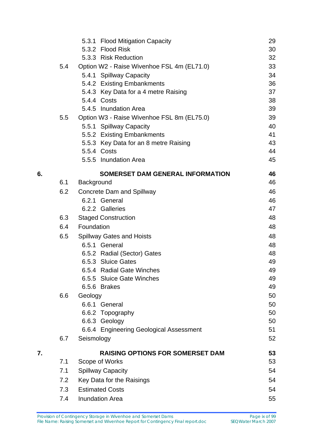|    |     | 5.3.1 Flood Mitigation Capacity            | 29 |
|----|-----|--------------------------------------------|----|
|    |     | 5.3.2 Flood Risk                           | 30 |
|    |     | 5.3.3 Risk Reduction                       | 32 |
|    | 5.4 | Option W2 - Raise Wivenhoe FSL 4m (EL71.0) | 33 |
|    |     | 5.4.1 Spillway Capacity                    | 34 |
|    |     | 5.4.2 Existing Embankments                 | 36 |
|    |     | 5.4.3 Key Data for a 4 metre Raising       | 37 |
|    |     | 5.4.4 Costs                                | 38 |
|    |     | 5.4.5 Inundation Area                      | 39 |
|    | 5.5 | Option W3 - Raise Wivenhoe FSL 8m (EL75.0) | 39 |
|    |     | 5.5.1 Spillway Capacity                    | 40 |
|    |     | 5.5.2 Existing Embankments                 | 41 |
|    |     | 5.5.3 Key Data for an 8 metre Raising      | 43 |
|    |     | 5.5.4 Costs                                | 44 |
|    |     | 5.5.5 Inundation Area                      | 45 |
| 6. |     | <b>SOMERSET DAM GENERAL INFORMATION</b>    | 46 |
|    | 6.1 | Background                                 | 46 |
|    | 6.2 | <b>Concrete Dam and Spillway</b>           | 46 |
|    |     | 6.2.1 General                              | 46 |
|    |     | 6.2.2 Galleries                            | 47 |
|    | 6.3 | <b>Staged Construction</b>                 | 48 |
|    | 6.4 | Foundation                                 | 48 |
|    | 6.5 | <b>Spillway Gates and Hoists</b>           | 48 |
|    |     | 6.5.1 General                              | 48 |
|    |     | 6.5.2 Radial (Sector) Gates                | 48 |
|    |     | 6.5.3 Sluice Gates                         | 49 |
|    |     | 6.5.4 Radial Gate Winches                  | 49 |
|    |     | 6.5.5 Sluice Gate Winches                  | 49 |
|    |     | 6.5.6 Brakes                               | 49 |
|    | 6.6 | Geology                                    | 50 |
|    |     | 6.6.1 General                              | 50 |
|    |     | 6.6.2 Topography                           | 50 |
|    |     | 6.6.3 Geology                              | 50 |
|    |     | 6.6.4 Engineering Geological Assessment    | 51 |
|    | 6.7 | Seismology                                 | 52 |
| 7. |     | <b>RAISING OPTIONS FOR SOMERSET DAM</b>    | 53 |
|    | 7.1 | Scope of Works                             | 53 |
|    | 7.1 | <b>Spillway Capacity</b>                   | 54 |
|    | 7.2 | Key Data for the Raisings                  | 54 |
|    | 7.3 | <b>Estimated Costs</b>                     | 54 |
|    | 7.4 | <b>Inundation Area</b>                     | 55 |
|    |     |                                            |    |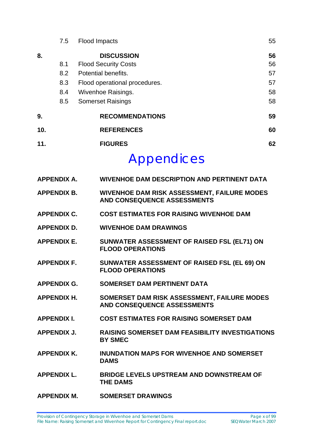|     | 7.5 | <b>Flood Impacts</b>          | 55 |
|-----|-----|-------------------------------|----|
| 8.  |     | <b>DISCUSSION</b>             | 56 |
|     | 8.1 | <b>Flood Security Costs</b>   | 56 |
|     | 8.2 | Potential benefits.           | 57 |
|     | 8.3 | Flood operational procedures. | 57 |
|     | 8.4 | <b>Wivenhoe Raisings.</b>     | 58 |
|     | 8.5 | <b>Somerset Raisings</b>      | 58 |
| 9.  |     | <b>RECOMMENDATIONS</b>        | 59 |
| 10. |     | <b>REFERENCES</b>             | 60 |
| 11. |     | <b>FIGURES</b>                | 62 |
|     |     | $\Lambda$ is is signal set    |    |

## Appendices

| <b>APPENDIX A.</b> | <b>WIVENHOE DAM DESCRIPTION AND PERTINENT DATA</b>                                       |
|--------------------|------------------------------------------------------------------------------------------|
| <b>APPENDIX B.</b> | <b>WIVENHOE DAM RISK ASSESSMENT, FAILURE MODES</b><br><b>AND CONSEQUENCE ASSESSMENTS</b> |
| <b>APPENDIX C.</b> | <b>COST ESTIMATES FOR RAISING WIVENHOE DAM</b>                                           |
| <b>APPENDIX D.</b> | <b>WIVENHOE DAM DRAWINGS</b>                                                             |
| <b>APPENDIX E.</b> | SUNWATER ASSESSMENT OF RAISED FSL (EL71) ON<br><b>FLOOD OPERATIONS</b>                   |
| <b>APPENDIX F.</b> | SUNWATER ASSESSMENT OF RAISED FSL (EL 69) ON<br><b>FLOOD OPERATIONS</b>                  |
| <b>APPENDIX G.</b> | <b>SOMERSET DAM PERTINENT DATA</b>                                                       |
| <b>APPENDIX H.</b> | SOMERSET DAM RISK ASSESSMENT, FAILURE MODES<br><b>AND CONSEQUENCE ASSESSMENTS</b>        |
| <b>APPENDIX I.</b> | <b>COST ESTIMATES FOR RAISING SOMERSET DAM</b>                                           |
| <b>APPENDIX J.</b> | <b>RAISING SOMERSET DAM FEASIBILITY INVESTIGATIONS</b><br><b>BY SMEC</b>                 |
| <b>APPENDIX K.</b> | <b>INUNDATION MAPS FOR WIVENHOE AND SOMERSET</b><br><b>DAMS</b>                          |
| <b>APPENDIX L.</b> | BRIDGE LEVELS UPSTREAM AND DOWNSTREAM OF<br><b>THE DAMS</b>                              |
| <b>APPENDIX M.</b> | <b>SOMERSET DRAWINGS</b>                                                                 |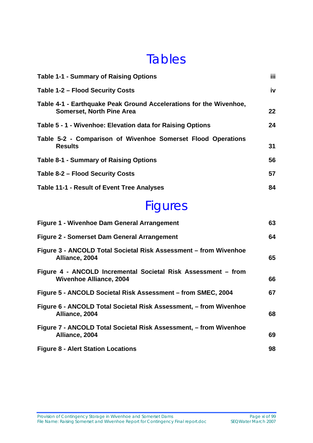## **Tables**

| <b>Table 1-1 - Summary of Raising Options</b>                                                          | iii |
|--------------------------------------------------------------------------------------------------------|-----|
| Table 1-2 - Flood Security Costs                                                                       | iv  |
| Table 4-1 - Earthquake Peak Ground Accelerations for the Wivenhoe,<br><b>Somerset, North Pine Area</b> | 22  |
| Table 5 - 1 - Wivenhoe: Elevation data for Raising Options                                             | 24  |
| Table 5-2 - Comparison of Wivenhoe Somerset Flood Operations<br><b>Results</b>                         | 31  |
| <b>Table 8-1 - Summary of Raising Options</b>                                                          | 56  |
| Table 8-2 - Flood Security Costs                                                                       | 57  |
| <b>Table 11-1 - Result of Event Tree Analyses</b>                                                      | 84  |

# Figures

| Figure 1 - Wivenhoe Dam General Arrangement                                                     | 63 |
|-------------------------------------------------------------------------------------------------|----|
| Figure 2 - Somerset Dam General Arrangement                                                     | 64 |
| Figure 3 - ANCOLD Total Societal Risk Assessment - from Wivenhoe<br>Alliance, 2004              | 65 |
| Figure 4 - ANCOLD Incremental Societal Risk Assessment – from<br><b>Wivenhoe Alliance, 2004</b> | 66 |
| Figure 5 - ANCOLD Societal Risk Assessment – from SMEC, 2004                                    | 67 |
| Figure 6 - ANCOLD Total Societal Risk Assessment, – from Wivenhoe<br>Alliance, 2004             | 68 |
| Figure 7 - ANCOLD Total Societal Risk Assessment, - from Wivenhoe<br>Alliance, 2004             | 69 |
| <b>Figure 8 - Alert Station Locations</b>                                                       | 98 |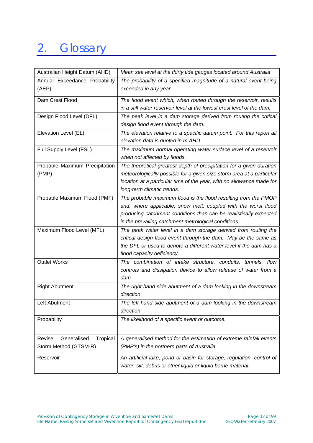# 2. Glossary

| Australian Height Datum (AHD)                              | Mean sea level at the thirty tide gauges located around Australia                                                                                                                                                                                              |
|------------------------------------------------------------|----------------------------------------------------------------------------------------------------------------------------------------------------------------------------------------------------------------------------------------------------------------|
| Annual Exceedance Probability<br>(AEP)                     | The probability of a specified magnitude of a natural event being<br>exceeded in any year.                                                                                                                                                                     |
| Dam Crest Flood                                            | The flood event which, when routed through the reservoir, results<br>in a still water reservoir level at the lowest crest level of the dam.                                                                                                                    |
| Design Flood Level (DFL)                                   | The peak level in a dam storage derived from routing the critical<br>design flood event through the dam.                                                                                                                                                       |
| Elevation Level (EL)                                       | The elevation relative to a specific datum point. For this report all<br>elevation data is quoted in m AHD.                                                                                                                                                    |
| Full Supply Level (FSL)                                    | The maximum normal operating water surface level of a reservoir<br>when not affected by floods.                                                                                                                                                                |
| Probable Maximum Precipitation<br>(PMP)                    | The theoretical greatest depth of precipitation for a given duration<br>meteorologically possible for a given size storm area at a particular<br>location at a particular time of the year, with no allowance made for<br>long-term climatic trends.           |
| Probable Maximum Flood (PMF)                               | The probable maximum flood is the flood resulting from the PMOP<br>and, where applicable, snow melt, coupled with the worst flood<br>producing catchment conditions than can be realistically expected<br>in the prevailing catchment metrological conditions. |
| Maximum Flood Level (MFL)                                  | The peak water level in a dam storage derived from routing the<br>critical design flood event through the dam. May be the same as<br>the DFL or used to denote a different water level if the dam has a<br>flood capacity deficiency.                          |
| <b>Outlet Works</b>                                        | The combination of intake structure, conduits, tunnels, flow<br>controls and dissipation device to allow release of water from a<br>dam.                                                                                                                       |
| <b>Right Abutment</b>                                      | The right hand side abutment of a dam looking in the downstream<br>direction                                                                                                                                                                                   |
| Left Abutment                                              | The left hand side abutment of a dam looking in the downstream<br>direction                                                                                                                                                                                    |
| Probability                                                | The likelihood of a specific event or outcome.                                                                                                                                                                                                                 |
| Generalised<br>Revise<br>Tropical<br>Storm Method (GTSM-R) | A generalised method for the estimation of extreme rainfall events<br>(PMP's) in the northern parts of Australia.                                                                                                                                              |
| Reservoir                                                  | An artificial lake, pond or basin for storage, regulation, control of<br>water, silt, debris or other liquid or liquid borne material.                                                                                                                         |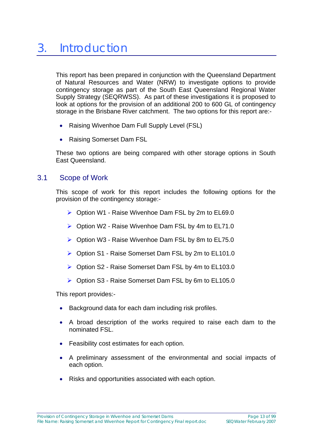This report has been prepared in conjunction with the Queensland Department of Natural Resources and Water (NRW) to investigate options to provide contingency storage as part of the South East Queensland Regional Water Supply Strategy (SEQRWSS). As part of these investigations it is proposed to look at options for the provision of an additional 200 to 600 GL of contingency storage in the Brisbane River catchment. The two options for this report are:-

- Raising Wivenhoe Dam Full Supply Level (FSL)
- Raising Somerset Dam FSL

These two options are being compared with other storage options in South East Queensland.

#### 3.1 Scope of Work

This scope of work for this report includes the following options for the provision of the contingency storage:-

- $\triangleright$  Option W1 Raise Wivenhoe Dam FSL by 2m to EL69.0
- $\triangleright$  Option W2 Raise Wivenhoe Dam FSL by 4m to EL71.0
- ¾ Option W3 Raise Wivenhoe Dam FSL by 8m to EL75.0
- ¾ Option S1 Raise Somerset Dam FSL by 2m to EL101.0
- ¾ Option S2 Raise Somerset Dam FSL by 4m to EL103.0
- ¾ Option S3 Raise Somerset Dam FSL by 6m to EL105.0

This report provides:-

- Background data for each dam including risk profiles.
- A broad description of the works required to raise each dam to the nominated FSL.
- Feasibility cost estimates for each option.
- A preliminary assessment of the environmental and social impacts of each option.
- Risks and opportunities associated with each option.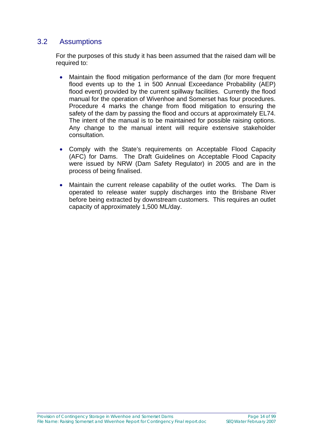#### 3.2 Assumptions

For the purposes of this study it has been assumed that the raised dam will be required to:

- Maintain the flood mitigation performance of the dam (for more frequent flood events up to the 1 in 500 Annual Exceedance Probability (AEP) flood event) provided by the current spillway facilities. Currently the flood manual for the operation of Wivenhoe and Somerset has four procedures. Procedure 4 marks the change from flood mitigation to ensuring the safety of the dam by passing the flood and occurs at approximately EL74. The intent of the manual is to be maintained for possible raising options. Any change to the manual intent will require extensive stakeholder consultation.
- Comply with the State's requirements on Acceptable Flood Capacity (AFC) for Dams. The Draft Guidelines on Acceptable Flood Capacity were issued by NRW (Dam Safety Regulator) in 2005 and are in the process of being finalised.
- Maintain the current release capability of the outlet works. The Dam is operated to release water supply discharges into the Brisbane River before being extracted by downstream customers. This requires an outlet capacity of approximately 1,500 ML/day.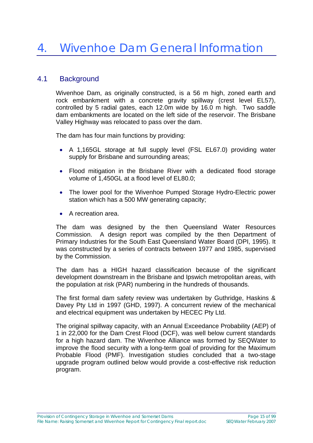#### 4.1 Background

Wivenhoe Dam, as originally constructed, is a 56 m high, zoned earth and rock embankment with a concrete gravity spillway (crest level EL57), controlled by 5 radial gates, each 12.0m wide by 16.0 m high. Two saddle dam embankments are located on the left side of the reservoir. The Brisbane Valley Highway was relocated to pass over the dam.

The dam has four main functions by providing:

- A 1,165GL storage at full supply level (FSL EL67.0) providing water supply for Brisbane and surrounding areas;
- Flood mitigation in the Brisbane River with a dedicated flood storage volume of 1,450GL at a flood level of EL80.0;
- The lower pool for the Wivenhoe Pumped Storage Hydro-Electric power station which has a 500 MW generating capacity;
- A recreation area.

The dam was designed by the then Queensland Water Resources Commission. A design report was compiled by the then Department of Primary Industries for the South East Queensland Water Board (DPI, 1995). It was constructed by a series of contracts between 1977 and 1985, supervised by the Commission.

The dam has a HIGH hazard classification because of the significant development downstream in the Brisbane and Ipswich metropolitan areas, with the population at risk (PAR) numbering in the hundreds of thousands.

The first formal dam safety review was undertaken by Guthridge, Haskins & Davey Pty Ltd in 1997 (GHD, 1997). A concurrent review of the mechanical and electrical equipment was undertaken by HECEC Pty Ltd.

The original spillway capacity, with an Annual Exceedance Probability (AEP) of 1 in 22,000 for the Dam Crest Flood (DCF), was well below current standards for a high hazard dam. The Wivenhoe Alliance was formed by SEQWater to improve the flood security with a long-term goal of providing for the Maximum Probable Flood (PMF). Investigation studies concluded that a two-stage upgrade program outlined below would provide a cost-effective risk reduction program.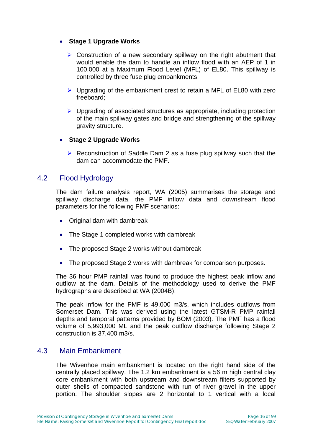#### • **Stage 1 Upgrade Works**

- $\triangleright$  Construction of a new secondary spillway on the right abutment that would enable the dam to handle an inflow flood with an AEP of 1 in 100,000 at a Maximum Flood Level (MFL) of EL80. This spillway is controlled by three fuse plug embankments;
- $\triangleright$  Upgrading of the embankment crest to retain a MFL of EL80 with zero freeboard;
- $\triangleright$  Upgrading of associated structures as appropriate, including protection of the main spillway gates and bridge and strengthening of the spillway gravity structure.

#### • **Stage 2 Upgrade Works**

 $\triangleright$  Reconstruction of Saddle Dam 2 as a fuse plug spillway such that the dam can accommodate the PMF.

#### 4.2 Flood Hydrology

The dam failure analysis report, WA (2005) summarises the storage and spillway discharge data, the PMF inflow data and downstream flood parameters for the following PMF scenarios:

- Original dam with dambreak
- The Stage 1 completed works with dambreak
- The proposed Stage 2 works without dambreak
- The proposed Stage 2 works with dambreak for comparison purposes.

The 36 hour PMP rainfall was found to produce the highest peak inflow and outflow at the dam. Details of the methodology used to derive the PMF hydrographs are described at WA (2004B).

The peak inflow for the PMF is 49,000 m3/s, which includes outflows from Somerset Dam. This was derived using the latest GTSM-R PMP rainfall depths and temporal patterns provided by BOM (2003). The PMF has a flood volume of 5,993,000 ML and the peak outflow discharge following Stage 2 construction is 37,400 m3/s.

#### 4.3 Main Embankment

The Wivenhoe main embankment is located on the right hand side of the centrally placed spillway. The 1.2 km embankment is a 56 m high central clay core embankment with both upstream and downstream filters supported by outer shells of compacted sandstone with run of river gravel in the upper portion. The shoulder slopes are 2 horizontal to 1 vertical with a local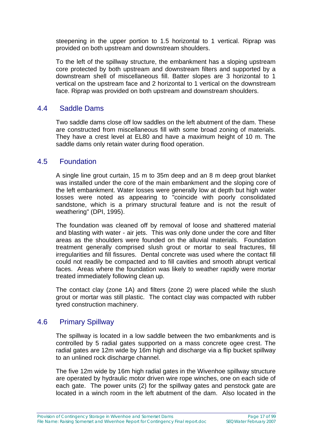steepening in the upper portion to 1.5 horizontal to 1 vertical. Riprap was provided on both upstream and downstream shoulders.

To the left of the spillway structure, the embankment has a sloping upstream core protected by both upstream and downstream filters and supported by a downstream shell of miscellaneous fill. Batter slopes are 3 horizontal to 1 vertical on the upstream face and 2 horizontal to 1 vertical on the downstream face. Riprap was provided on both upstream and downstream shoulders.

#### 4.4 Saddle Dams

Two saddle dams close off low saddles on the left abutment of the dam. These are constructed from miscellaneous fill with some broad zoning of materials. They have a crest level at EL80 and have a maximum height of 10 m. The saddle dams only retain water during flood operation.

#### 4.5 Foundation

A single line grout curtain, 15 m to 35m deep and an 8 m deep grout blanket was installed under the core of the main embankment and the sloping core of the left embankment. Water losses were generally low at depth but high water losses were noted as appearing to "coincide with poorly consolidated sandstone, which is a primary structural feature and is not the result of weathering" (DPI, 1995).

The foundation was cleaned off by removal of loose and shattered material and blasting with water - air jets. This was only done under the core and filter areas as the shoulders were founded on the alluvial materials. Foundation treatment generally comprised slush grout or mortar to seal fractures, fill irregularities and fill fissures. Dental concrete was used where the contact fill could not readily be compacted and to fill cavities and smooth abrupt vertical faces. Areas where the foundation was likely to weather rapidly were mortar treated immediately following clean up.

The contact clay (zone 1A) and filters (zone 2) were placed while the slush grout or mortar was still plastic. The contact clay was compacted with rubber tyred construction machinery.

#### 4.6 Primary Spillway

The spillway is located in a low saddle between the two embankments and is controlled by 5 radial gates supported on a mass concrete ogee crest. The radial gates are 12m wide by 16m high and discharge via a flip bucket spillway to an unlined rock discharge channel.

The five 12m wide by 16m high radial gates in the Wivenhoe spillway structure are operated by hydraulic motor driven wire rope winches, one on each side of each gate. The power units (2) for the spillway gates and penstock gate are located in a winch room in the left abutment of the dam. Also located in the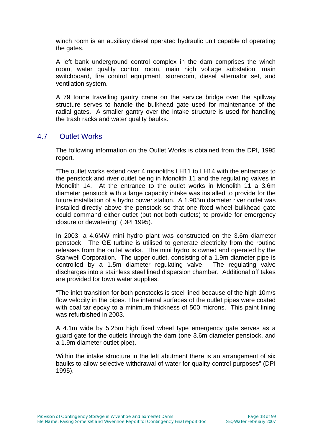winch room is an auxiliary diesel operated hydraulic unit capable of operating the gates.

A left bank underground control complex in the dam comprises the winch room, water quality control room, main high voltage substation, main switchboard, fire control equipment, storeroom, diesel alternator set, and ventilation system.

A 79 tonne travelling gantry crane on the service bridge over the spillway structure serves to handle the bulkhead gate used for maintenance of the radial gates. A smaller gantry over the intake structure is used for handling the trash racks and water quality baulks.

#### 4.7 Outlet Works

The following information on the Outlet Works is obtained from the DPI, 1995 report.

"The outlet works extend over 4 monoliths LH11 to LH14 with the entrances to the penstock and river outlet being in Monolith 11 and the regulating valves in Monolith 14. At the entrance to the outlet works in Monolith 11 a 3.6m diameter penstock with a large capacity intake was installed to provide for the future installation of a hydro power station. A 1.905m diameter river outlet was installed directly above the penstock so that one fixed wheel bulkhead gate could command either outlet (but not both outlets) to provide for emergency closure or dewatering" (DPI 1995).

In 2003, a 4.6MW mini hydro plant was constructed on the 3.6m diameter penstock. The GE turbine is utilised to generate electricity from the routine releases from the outlet works. The mini hydro is owned and operated by the Stanwell Corporation. The upper outlet, consisting of a 1.9m diameter pipe is controlled by a 1.5m diameter regulating valve. The regulating valve discharges into a stainless steel lined dispersion chamber. Additional off takes are provided for town water supplies.

"The inlet transition for both penstocks is steel lined because of the high 10m/s flow velocity in the pipes. The internal surfaces of the outlet pipes were coated with coal tar epoxy to a minimum thickness of 500 microns. This paint lining was refurbished in 2003.

A 4.1m wide by 5.25m high fixed wheel type emergency gate serves as a guard gate for the outlets through the dam (one 3.6m diameter penstock, and a 1.9m diameter outlet pipe).

Within the intake structure in the left abutment there is an arrangement of six baulks to allow selective withdrawal of water for quality control purposes" (DPI 1995).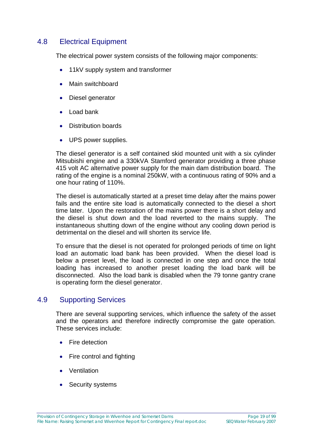#### 4.8 Electrical Equipment

The electrical power system consists of the following major components:

- 11kV supply system and transformer
- Main switchboard
- Diesel generator
- Load bank
- Distribution boards
- UPS power supplies.

The diesel generator is a self contained skid mounted unit with a six cylinder Mitsubishi engine and a 330kVA Stamford generator providing a three phase 415 volt AC alternative power supply for the main dam distribution board. The rating of the engine is a nominal 250kW, with a continuous rating of 90% and a one hour rating of 110%.

The diesel is automatically started at a preset time delay after the mains power fails and the entire site load is automatically connected to the diesel a short time later. Upon the restoration of the mains power there is a short delay and the diesel is shut down and the load reverted to the mains supply. The instantaneous shutting down of the engine without any cooling down period is detrimental on the diesel and will shorten its service life.

To ensure that the diesel is not operated for prolonged periods of time on light load an automatic load bank has been provided. When the diesel load is below a preset level, the load is connected in one step and once the total loading has increased to another preset loading the load bank will be disconnected. Also the load bank is disabled when the 79 tonne gantry crane is operating form the diesel generator.

#### 4.9 Supporting Services

There are several supporting services, which influence the safety of the asset and the operators and therefore indirectly compromise the gate operation. These services include:

- **Fire detection**
- Fire control and fighting
- Ventilation
- Security systems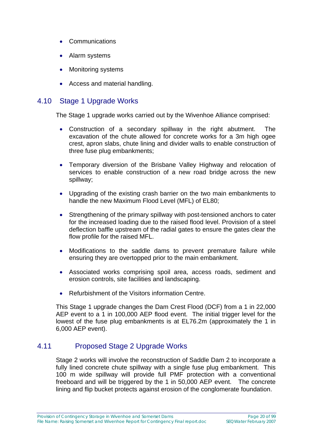- Communications
- Alarm systems
- Monitoring systems
- Access and material handling.

#### 4.10 Stage 1 Upgrade Works

The Stage 1 upgrade works carried out by the Wivenhoe Alliance comprised:

- Construction of a secondary spillway in the right abutment. The excavation of the chute allowed for concrete works for a 3m high ogee crest, apron slabs, chute lining and divider walls to enable construction of three fuse plug embankments;
- Temporary diversion of the Brisbane Valley Highway and relocation of services to enable construction of a new road bridge across the new spillway;
- Upgrading of the existing crash barrier on the two main embankments to handle the new Maximum Flood Level (MFL) of EL80;
- Strengthening of the primary spillway with post-tensioned anchors to cater for the increased loading due to the raised flood level. Provision of a steel deflection baffle upstream of the radial gates to ensure the gates clear the flow profile for the raised MFL.
- Modifications to the saddle dams to prevent premature failure while ensuring they are overtopped prior to the main embankment.
- Associated works comprising spoil area, access roads, sediment and erosion controls, site facilities and landscaping.
- Refurbishment of the Visitors information Centre.

This Stage 1 upgrade changes the Dam Crest Flood (DCF) from a 1 in 22,000 AEP event to a 1 in 100,000 AEP flood event. The initial trigger level for the lowest of the fuse plug embankments is at EL76.2m (approximately the 1 in 6,000 AEP event).

#### 4.11 Proposed Stage 2 Upgrade Works

Stage 2 works will involve the reconstruction of Saddle Dam 2 to incorporate a fully lined concrete chute spillway with a single fuse plug embankment. This 100 m wide spillway will provide full PMF protection with a conventional freeboard and will be triggered by the 1 in 50,000 AEP event. The concrete lining and flip bucket protects against erosion of the conglomerate foundation.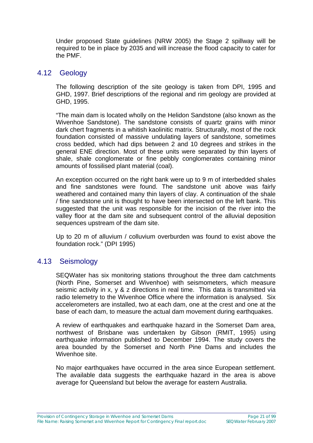Under proposed State guidelines (NRW 2005) the Stage 2 spillway will be required to be in place by 2035 and will increase the flood capacity to cater for the PMF.

#### 4.12 Geology

The following description of the site geology is taken from DPI, 1995 and GHD, 1997. Brief descriptions of the regional and rim geology are provided at GHD, 1995.

"The main dam is located wholly on the Helidon Sandstone (also known as the Wivenhoe Sandstone). The sandstone consists of quartz grains with minor dark chert fragments in a whitish kaolinitic matrix. Structurally, most of the rock foundation consisted of massive undulating layers of sandstone, sometimes cross bedded, which had dips between 2 and 10 degrees and strikes in the general ENE direction. Most of these units were separated by thin layers of shale, shale conglomerate or fine pebbly conglomerates containing minor amounts of fossilised plant material (coal).

An exception occurred on the right bank were up to 9 m of interbedded shales and fine sandstones were found. The sandstone unit above was fairly weathered and contained many thin layers of clay. A continuation of the shale / fine sandstone unit is thought to have been intersected on the left bank. This suggested that the unit was responsible for the incision of the river into the valley floor at the dam site and subsequent control of the alluvial deposition sequences upstream of the dam site.

Up to 20 m of alluvium / colluvium overburden was found to exist above the foundation rock." (DPI 1995)

#### 4.13 Seismology

SEQWater has six monitoring stations throughout the three dam catchments (North Pine, Somerset and Wivenhoe) with seismometers, which measure seismic activity in x, y & z directions in real time. This data is transmitted via radio telemetry to the Wivenhoe Office where the information is analysed. Six accelerometers are installed, two at each dam, one at the crest and one at the base of each dam, to measure the actual dam movement during earthquakes.

A review of earthquakes and earthquake hazard in the Somerset Dam area, northwest of Brisbane was undertaken by Gibson (RMIT, 1995) using earthquake information published to December 1994. The study covers the area bounded by the Somerset and North Pine Dams and includes the Wivenhoe site.

No major earthquakes have occurred in the area since European settlement. The available data suggests the earthquake hazard in the area is above average for Queensland but below the average for eastern Australia.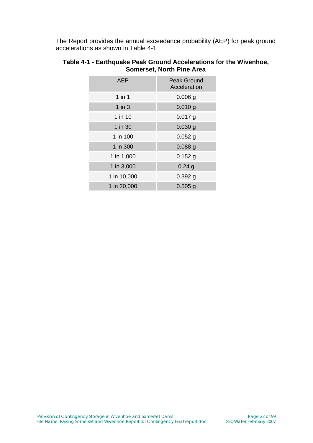The Report provides the annual exceedance probability (AEP) for peak ground accelerations as shown in Table 4-1

| AEP         | <b>Peak Ground</b><br>Acceleration |
|-------------|------------------------------------|
| $1$ in $1$  | $0.006$ g                          |
| 1 in $3$    | $0.010$ g                          |
| 1 in 10     | $0.017$ g                          |
| 1 in 30     | $0.030$ g                          |
| 1 in 100    | $0.052$ g                          |
| 1 in 300    | 0.088g                             |
| 1 in 1,000  | $0.152$ g                          |
| 1 in 3,000  | $0.24$ g                           |
| 1 in 10,000 | 0.392g                             |
| 1 in 20,000 | $0.505$ g                          |

#### **Table 4-1 - Earthquake Peak Ground Accelerations for the Wivenhoe, Somerset, North Pine Area**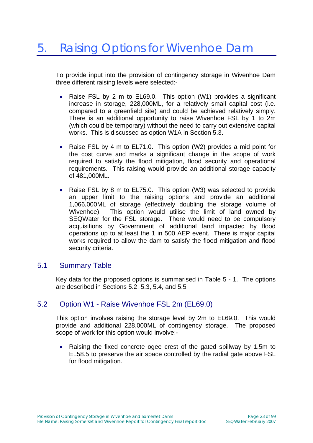To provide input into the provision of contingency storage in Wivenhoe Dam three different raising levels were selected:-

- Raise FSL by 2 m to EL69.0. This option (W1) provides a significant increase in storage, 228,000ML, for a relatively small capital cost (i.e. compared to a greenfield site) and could be achieved relatively simply. There is an additional opportunity to raise Wivenhoe FSL by 1 to 2m (which could be temporary) without the need to carry out extensive capital works. This is discussed as option W1A in Section 5.3.
- Raise FSL by 4 m to EL71.0. This option (W2) provides a mid point for the cost curve and marks a significant change in the scope of work required to satisfy the flood mitigation, flood security and operational requirements. This raising would provide an additional storage capacity of 481,000ML.
- Raise FSL by 8 m to EL75.0. This option (W3) was selected to provide an upper limit to the raising options and provide an additional 1,066,000ML of storage (effectively doubling the storage volume of Wivenhoe). This option would utilise the limit of land owned by SEQWater for the FSL storage. There would need to be compulsory acquisitions by Government of additional land impacted by flood operations up to at least the 1 in 500 AEP event. There is major capital works required to allow the dam to satisfy the flood mitigation and flood security criteria.

#### 5.1 Summary Table

Key data for the proposed options is summarised in Table 5 - 1. The options are described in Sections 5.2, 5.3, 5.4, and 5.5

#### 5.2 Option W1 - Raise Wivenhoe FSL 2m (EL69.0)

This option involves raising the storage level by 2m to EL69.0. This would provide and additional 228,000ML of contingency storage. The proposed scope of work for this option would involve:-

• Raising the fixed concrete ogee crest of the gated spillway by 1.5m to EL58.5 to preserve the air space controlled by the radial gate above FSL for flood mitigation.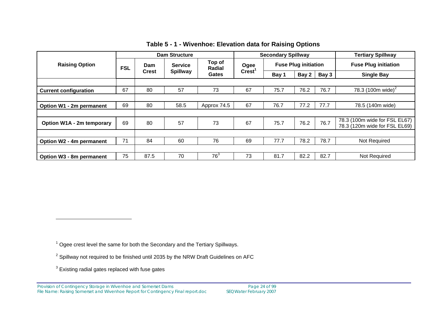|                              | <b>Dam Structure</b> |                     |                                   | <b>Secondary Spillway</b>        |                            |                             |       | <b>Tertiary Spillway</b> |                                                                |
|------------------------------|----------------------|---------------------|-----------------------------------|----------------------------------|----------------------------|-----------------------------|-------|--------------------------|----------------------------------------------------------------|
| <b>Raising Option</b>        | <b>FSL</b>           | Dam<br><b>Crest</b> | <b>Service</b><br><b>Spillway</b> | Top of<br>Radial<br><b>Gates</b> | Ogee<br>Crest <sup>1</sup> | <b>Fuse Plug initiation</b> |       |                          | <b>Fuse Plug initiation</b>                                    |
|                              |                      |                     |                                   |                                  |                            | Bay 1                       | Bay 2 | Bay 3                    | <b>Single Bay</b>                                              |
|                              |                      |                     |                                   |                                  |                            |                             |       |                          |                                                                |
| <b>Current configuration</b> | 67                   | 80                  | 57                                | 73                               | 67                         | 75.7                        | 76.2  | 76.7                     | 78.3 (100m wide) <sup>2</sup>                                  |
|                              |                      |                     |                                   |                                  |                            |                             |       |                          |                                                                |
| Option W1 - 2m permanent     | 69                   | 80                  | 58.5                              | Approx 74.5                      | 67                         | 76.7                        | 77.2  | 77.7                     | 78.5 (140m wide)                                               |
|                              |                      |                     |                                   |                                  |                            |                             |       |                          |                                                                |
| Option W1A - 2m temporary    | 69                   | 80                  | 57                                | 73                               | 67                         | 75.7                        | 76.2  | 76.7                     | 78.3 (100m wide for FSL EL67)<br>78.3 (120m wide for FSL EL69) |
|                              |                      |                     |                                   |                                  |                            |                             |       |                          |                                                                |
| Option W2 - 4m permanent     | 71                   | 84                  | 60                                | 76                               | 69                         | 77.7                        | 78.2  | 78.7                     | Not Required                                                   |
|                              |                      |                     |                                   |                                  |                            |                             |       |                          |                                                                |
| Option W3 - 8m permanent     | 75                   | 87.5                | 70                                | 76 <sup>3</sup>                  | 73                         | 81.7                        | 82.2  | 82.7                     | Not Required                                                   |

**Table 5 - 1 - Wivenhoe: Elevation data for Raising Options** 

1 Ogee crest level the same for both the Secondary and the Tertiary Spillways.

 $2$  Spillway not required to be finished until 2035 by the NRW Draft Guidelines on AFC

 $3$  Existing radial gates replaced with fuse gates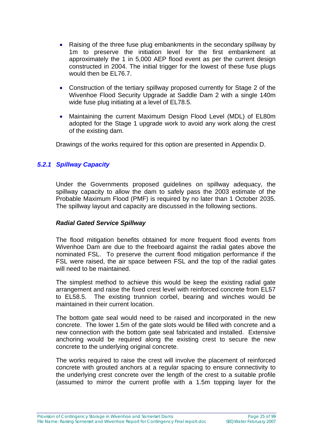- Raising of the three fuse plug embankments in the secondary spillway by 1m to preserve the initiation level for the first embankment at approximately the 1 in 5,000 AEP flood event as per the current design constructed in 2004. The initial trigger for the lowest of these fuse plugs would then be EL76.7.
- Construction of the tertiary spillway proposed currently for Stage 2 of the Wivenhoe Flood Security Upgrade at Saddle Dam 2 with a single 140m wide fuse plug initiating at a level of EL78.5.
- Maintaining the current Maximum Design Flood Level (MDL) of EL80m adopted for the Stage 1 upgrade work to avoid any work along the crest of the existing dam.

Drawings of the works required for this option are presented in Appendix D.

#### *5.2.1 Spillway Capacity*

Under the Governments proposed guidelines on spillway adequacy, the spillway capacity to allow the dam to safely pass the 2003 estimate of the Probable Maximum Flood (PMF) is required by no later than 1 October 2035. The spillway layout and capacity are discussed in the following sections.

#### *Radial Gated Service Spillway*

The flood mitigation benefits obtained for more frequent flood events from Wivenhoe Dam are due to the freeboard against the radial gates above the nominated FSL. To preserve the current flood mitigation performance if the FSL were raised, the air space between FSL and the top of the radial gates will need to be maintained.

The simplest method to achieve this would be keep the existing radial gate arrangement and raise the fixed crest level with reinforced concrete from EL57 to EL58.5. The existing trunnion corbel, bearing and winches would be maintained in their current location.

The bottom gate seal would need to be raised and incorporated in the new concrete. The lower 1.5m of the gate slots would be filled with concrete and a new connection with the bottom gate seal fabricated and installed. Extensive anchoring would be required along the existing crest to secure the new concrete to the underlying original concrete.

The works required to raise the crest will involve the placement of reinforced concrete with grouted anchors at a regular spacing to ensure connectivity to the underlying crest concrete over the length of the crest to a suitable profile (assumed to mirror the current profile with a 1.5m topping layer for the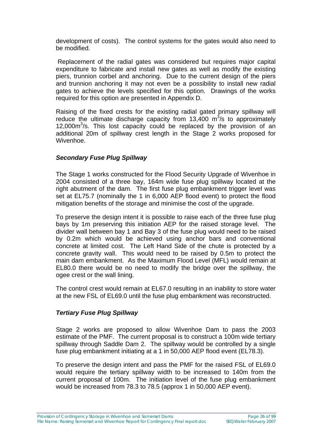development of costs). The control systems for the gates would also need to be modified.

 Replacement of the radial gates was considered but requires major capital expenditure to fabricate and install new gates as well as modify the existing piers, trunnion corbel and anchoring. Due to the current design of the piers and trunnion anchoring it may not even be a possibility to install new radial gates to achieve the levels specified for this option. Drawings of the works required for this option are presented in Appendix D.

Raising of the fixed crests for the existing radial gated primary spillway will reduce the ultimate discharge capacity from 13,400  $\mathrm{m}^3$ /s to approximately 12,000m<sup>3</sup>/s. This lost capacity could be replaced by the provision of an additional 20m of spillway crest length in the Stage 2 works proposed for Wivenhoe.

#### *Secondary Fuse Plug Spillway*

The Stage 1 works constructed for the Flood Security Upgrade of Wivenhoe in 2004 consisted of a three bay, 164m wide fuse plug spillway located at the right abutment of the dam. The first fuse plug embankment trigger level was set at EL75.7 (nominally the 1 in 6,000 AEP flood event) to protect the flood mitigation benefits of the storage and minimise the cost of the upgrade.

To preserve the design intent it is possible to raise each of the three fuse plug bays by 1m preserving this initiation AEP for the raised storage level. The divider wall between bay 1 and Bay 3 of the fuse plug would need to be raised by 0.2m which would be achieved using anchor bars and conventional concrete at limited cost. The Left Hand Side of the chute is protected by a concrete gravity wall. This would need to be raised by 0.5m to protect the main dam embankment. As the Maximum Flood Level (MFL) would remain at EL80.0 there would be no need to modify the bridge over the spillway, the ogee crest or the wall lining.

The control crest would remain at EL67.0 resulting in an inability to store water at the new FSL of EL69.0 until the fuse plug embankment was reconstructed.

#### *Tertiary Fuse Plug Spillway*

Stage 2 works are proposed to allow Wivenhoe Dam to pass the 2003 estimate of the PMF. The current proposal is to construct a 100m wide tertiary spillway through Saddle Dam 2. The spillway would be controlled by a single fuse plug embankment initiating at a 1 in 50,000 AEP flood event (EL78.3).

To preserve the design intent and pass the PMF for the raised FSL of EL69.0 would require the tertiary spillway width to be increased to 140m from the current proposal of 100m. The initiation level of the fuse plug embankment would be increased from 78.3 to 78.5 (approx 1 in 50,000 AEP event).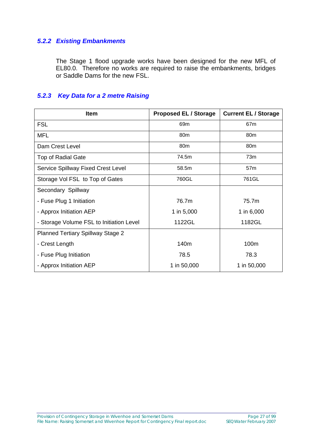#### *5.2.2 Existing Embankments*

The Stage 1 flood upgrade works have been designed for the new MFL of EL80.0. Therefore no works are required to raise the embankments, bridges or Saddle Dams for the new FSL.

#### *5.2.3 Key Data for a 2 metre Raising*

| <b>Item</b>                              | <b>Proposed EL / Storage</b> | <b>Current EL / Storage</b> |
|------------------------------------------|------------------------------|-----------------------------|
| <b>FSL</b>                               | 69m                          | 67 <sub>m</sub>             |
| <b>MFL</b>                               | 80 <sub>m</sub>              | 80 <sub>m</sub>             |
| Dam Crest Level                          | 80 <sub>m</sub>              | 80 <sub>m</sub>             |
| <b>Top of Radial Gate</b>                | 74.5m                        | 73m                         |
| Service Spillway Fixed Crest Level       | 58.5m                        | 57m                         |
| Storage Vol FSL to Top of Gates          | 760GL                        | 761GL                       |
| Secondary Spillway                       |                              |                             |
| - Fuse Plug 1 Initiation                 | 76.7m                        | 75.7m                       |
| - Approx Initiation AEP                  | 1 in 5,000                   | 1 in 6,000                  |
| - Storage Volume FSL to Initiation Level | 1122GL                       | 1182GL                      |
| <b>Planned Tertiary Spillway Stage 2</b> |                              |                             |
| - Crest Length                           | 140m                         | 100m                        |
| - Fuse Plug Initiation                   | 78.5                         | 78.3                        |
| - Approx Initiation AEP                  | 1 in 50,000                  | 1 in 50,000                 |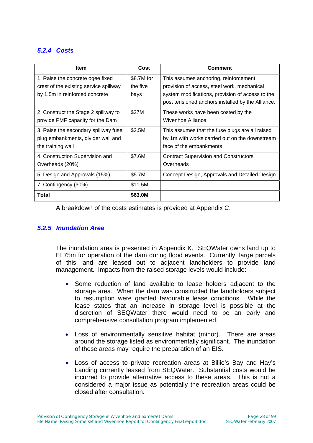#### *5.2.4 Costs*

| <b>Item</b>                                                                                                  | Cost                           | <b>Comment</b>                                                                                                                                                                                 |
|--------------------------------------------------------------------------------------------------------------|--------------------------------|------------------------------------------------------------------------------------------------------------------------------------------------------------------------------------------------|
| 1. Raise the concrete ogee fixed<br>crest of the existing service spillway<br>by 1.5m in reinforced concrete | \$8.7M for<br>the five<br>bays | This assumes anchoring, reinforcement,<br>provision of access, steel work, mechanical<br>system modifications, provision of access to the<br>post tensioned anchors installed by the Alliance. |
| 2. Construct the Stage 2 spillway to<br>provide PMF capacity for the Dam                                     | \$27M                          | These works have been costed by the<br>Wivenhoe Alliance.                                                                                                                                      |
| 3. Raise the secondary spillway fuse<br>plug embankments, divider wall and<br>the training wall              | \$2.5M                         | This assumes that the fuse plugs are all raised<br>by 1m with works carried out on the downstream<br>face of the embankments                                                                   |
| 4. Construction Supervision and<br>Overheads (20%)                                                           | \$7.6M                         | <b>Contract Supervision and Constructors</b><br>Overheads                                                                                                                                      |
| 5. Design and Approvals (15%)                                                                                | \$5.7M                         | Concept Design, Approvals and Detailed Design                                                                                                                                                  |
| 7. Contingency (30%)                                                                                         | \$11.5M                        |                                                                                                                                                                                                |
| Total                                                                                                        | \$63.0M                        |                                                                                                                                                                                                |

A breakdown of the costs estimates is provided at Appendix C.

#### *5.2.5 Inundation Area*

The inundation area is presented in Appendix K. SEQWater owns land up to EL75m for operation of the dam during flood events. Currently, large parcels of this land are leased out to adjacent landholders to provide land management. Impacts from the raised storage levels would include:-

- Some reduction of land available to lease holders adjacent to the storage area. When the dam was constructed the landholders subject to resumption were granted favourable lease conditions. While the lease states that an increase in storage level is possible at the discretion of SEQWater there would need to be an early and comprehensive consultation program implemented.
- Loss of environmentally sensitive habitat (minor). There are areas around the storage listed as environmentally significant. The inundation of these areas may require the preparation of an EIS.
- Loss of access to private recreation areas at Billie's Bay and Hay's Landing currently leased from SEQWater. Substantial costs would be incurred to provide alternative access to these areas. This is not a considered a major issue as potentially the recreation areas could be closed after consultation.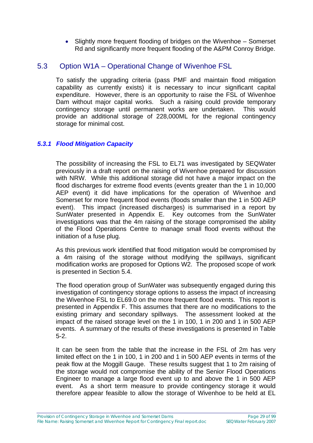• Slightly more frequent flooding of bridges on the Wivenhoe – Somerset Rd and significantly more frequent flooding of the A&PM Conroy Bridge.

#### 5.3 Option W1A – Operational Change of Wivenhoe FSL

To satisfy the upgrading criteria (pass PMF and maintain flood mitigation capability as currently exists) it is necessary to incur significant capital expenditure. However, there is an opportunity to raise the FSL of Wivenhoe Dam without major capital works. Such a raising could provide temporary contingency storage until permanent works are undertaken. This would provide an additional storage of 228,000ML for the regional contingency storage for minimal cost.

#### *5.3.1 Flood Mitigation Capacity*

The possibility of increasing the FSL to EL71 was investigated by SEQWater previously in a draft report on the raising of Wivenhoe prepared for discussion with NRW. While this additional storage did not have a major impact on the flood discharges for extreme flood events (events greater than the 1 in 10,000 AEP event) it did have implications for the operation of Wivenhoe and Somerset for more frequent flood events (floods smaller than the 1 in 500 AEP event). This impact (increased discharges) is summarised in a report by SunWater presented in Appendix E. Key outcomes from the SunWater investigations was that the 4m raising of the storage compromised the ability of the Flood Operations Centre to manage small flood events without the initiation of a fuse plug.

As this previous work identified that flood mitigation would be compromised by a 4m raising of the storage without modifying the spillways, significant modification works are proposed for Options W2. The proposed scope of work is presented in Section 5.4.

The flood operation group of SunWater was subsequently engaged during this investigation of contingency storage options to assess the impact of increasing the Wivenhoe FSL to EL69.0 on the more frequent flood events. This report is presented in Appendix F. This assumes that there are no modifications to the existing primary and secondary spillways. The assessment looked at the impact of the raised storage level on the 1 in 100, 1 in 200 and 1 in 500 AEP events. A summary of the results of these investigations is presented in Table 5-2.

It can be seen from the table that the increase in the FSL of 2m has very limited effect on the 1 in 100, 1 in 200 and 1 in 500 AEP events in terms of the peak flow at the Moggill Gauge. These results suggest that 1 to 2m raising of the storage would not compromise the ability of the Senior Flood Operations Engineer to manage a large flood event up to and above the 1 in 500 AEP event. As a short term measure to provide contingency storage it would therefore appear feasible to allow the storage of Wivenhoe to be held at EL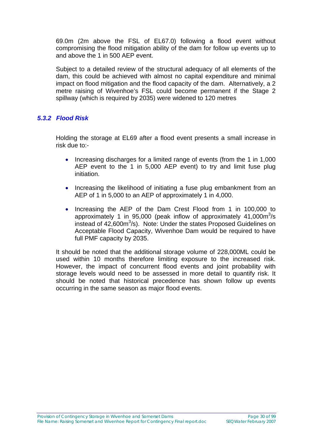69.0m (2m above the FSL of EL67.0) following a flood event without compromising the flood mitigation ability of the dam for follow up events up to and above the 1 in 500 AEP event.

Subject to a detailed review of the structural adequacy of all elements of the dam, this could be achieved with almost no capital expenditure and minimal impact on flood mitigation and the flood capacity of the dam. Alternatively, a 2 metre raising of Wivenhoe's FSL could become permanent if the Stage 2 spillway (which is required by 2035) were widened to 120 metres

#### *5.3.2 Flood Risk*

Holding the storage at EL69 after a flood event presents a small increase in risk due to:-

- Increasing discharges for a limited range of events (from the 1 in 1,000 AEP event to the 1 in 5,000 AEP event) to try and limit fuse plug initiation.
- Increasing the likelihood of initiating a fuse plug embankment from an AEP of 1 in 5,000 to an AEP of approximately 1 in 4,000.
- Increasing the AEP of the Dam Crest Flood from 1 in 100,000 to approximately 1 in 95,000 (peak inflow of approximately  $41,000\text{m}^3/\text{s}$ instead of 42,600m<sup>3</sup>/s). Note: Under the states Proposed Guidelines on Acceptable Flood Capacity, Wivenhoe Dam would be required to have full PMF capacity by 2035.

It should be noted that the additional storage volume of 228,000ML could be used within 10 months therefore limiting exposure to the increased risk. However, the impact of concurrent flood events and joint probability with storage levels would need to be assessed in more detail to quantify risk. It should be noted that historical precedence has shown follow up events occurring in the same season as major flood events.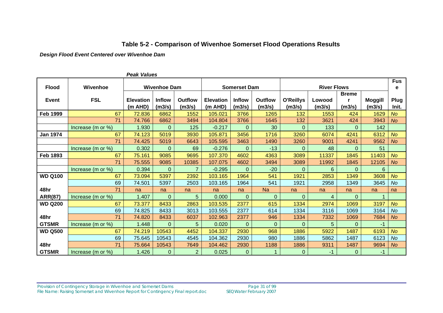#### **Table 5-2 - Comparison of Wivenhoe Somerset Flood Operations Results**

*Design Flood Event Centered over Wivenhoe Dam* 

| rean values     |                       |                             |                         |                          |                               |                         |                    |                            |                  |                        |                          |               |
|-----------------|-----------------------|-----------------------------|-------------------------|--------------------------|-------------------------------|-------------------------|--------------------|----------------------------|------------------|------------------------|--------------------------|---------------|
| <b>Flood</b>    | Wivenhoe              | <b>Wivenhoe Dam</b>         |                         |                          | <b>Somerset Dam</b>           |                         | <b>River Flows</b> |                            |                  |                        | <b>Fus</b><br>е          |               |
| <b>Event</b>    | <b>FSL</b>            | <b>Elevation</b><br>(m AHD) | <b>Inflow</b><br>(m3/s) | <b>Outflow</b><br>(m3/s) | <b>Elevation</b><br>$(m$ AHD) | <b>Inflow</b><br>(m3/s) | Outflow<br>(m3/s)  | <b>O'Reillys</b><br>(m3/s) | Lowood<br>(m3/s) | <b>Breme</b><br>(m3/s) | <b>Moggill</b><br>(m3/s) | Plug<br>Init. |
| <b>Feb 1999</b> | 67                    | 72.836                      | 6862                    | 1552                     | 105.021                       | 3766                    | 1265               | 132                        | 1553             | 424                    | 1629                     | <b>No</b>     |
|                 | 71                    | 74.766                      | 6862                    | 3494                     | 104.804                       | 3766                    | 1645               | 132                        | 3621             | 424                    | 3943                     | <b>No</b>     |
|                 | Increase (m or %)     | 1.930                       | $\overline{0}$          | 125                      | $-0.217$                      | $\Omega$                | 30                 | $\mathbf 0$                | 133              | $\Omega$               | 142                      |               |
| <b>Jan 1974</b> | 67                    | 74.123                      | 5019                    | 3930                     | 105.871                       | 3456                    | 1716               | 3260                       | 6074             | 4241                   | 6312                     | <b>No</b>     |
|                 | 71                    | 74.425                      | 5019                    | 6643                     | 105.595                       | 3463                    | 1490               | 3260                       | 9001             | 4241                   | 9562                     | <b>No</b>     |
|                 | Increase (m or %)     | 0.302                       | 0                       | 69                       | $-0.276$                      | $\Omega$                | $-13$              | 0                          | 48               | $\Omega$               | 51                       |               |
| <b>Feb 1893</b> | 67                    | 75.161                      | 9085                    | 9695                     | 107.370                       | 4602                    | 4363               | 3089                       | 11337            | 1845                   | 11403                    | <b>No</b>     |
|                 | 71                    | 75.555                      | 9085                    | 10385                    | 107.075                       | 4602                    | 3494               | 3089                       | 11992            | 1845                   | 12105                    | <b>No</b>     |
|                 | Increase (m or %)     | 0.394                       | $\Omega$                | $\overline{7}$           | $-0.295$                      | $\Omega$                | $-20$              | 0                          | 6                | $\Omega$               | 6                        |               |
| <b>WD Q100</b>  | 67                    | 73.094                      | 5397                    | 2392                     | 103.165                       | 1964                    | 541                | 1921                       | 2853             | 1349                   | 3608                     | <b>No</b>     |
|                 | 69                    | 74.501                      | 5397                    | 2503                     | 103.165                       | 1964                    | 541                | 1921                       | 2958             | 1349                   | 3645                     | <b>No</b>     |
| 48hr            | 71                    | na                          | na                      | na                       | na                            | na                      | <b>Na</b>          | na                         | na               | na                     | na                       | na            |
| <b>ARR(87)</b>  | Increase (m or %)     | 1.407                       | $\Omega$                | 5                        | 0.000                         | $\Omega$                | $\Omega$           | 0                          | 4                | $\Omega$               |                          |               |
| <b>WD Q200</b>  | 67                    | 73.377                      | 8433                    | 2863                     | 103.535                       | 2377                    | 615                | 1334                       | 2974             | 1069                   | 3197                     | <b>No</b>     |
|                 | 69                    | 74.825                      | 8433                    | 3013                     | 103.555                       | 2377                    | 614                | 1334                       | 3116             | 1069                   | 3164                     | <b>No</b>     |
| 48hr            | 71                    | 74.820                      | 8433                    | 6037                     | 102.963                       | 2377                    | 946                | 1334                       | 7332             | 1069                   | 7684                     | <b>No</b>     |
| <b>GTSMR</b>    | Increase (m or %)     | 1.448                       | $\Omega$                | 5                        | 0.020                         | $\Omega$                | $\Omega$           | 0                          | 5                | $\Omega$               | $-1$                     |               |
| <b>WD Q500</b>  | 67                    | 74.219                      | 10543                   | 4452                     | 104.337                       | 2930                    | 968                | 1886                       | 5922             | 1487                   | 6193                     | <b>No</b>     |
|                 | 69                    | 75.645                      | 10543                   | 4545                     | 104.362                       | 2930                    | 980                | 1886                       | 5862             | 1487                   | 6123                     | <b>No</b>     |
| 48hr            | 71                    | 75.664                      | 10543                   | 7649                     | 104.462                       | 2930                    | 1188               | 1886                       | 9311             | 1487                   | 9694                     | <b>No</b>     |
| <b>GTSMR</b>    | Increase (m or $\%$ ) | 1.426                       | 0                       | $\overline{2}$           | 0.025                         | $\Omega$                |                    | 0                          | -1               | 0                      | -1                       |               |

*Peak Values*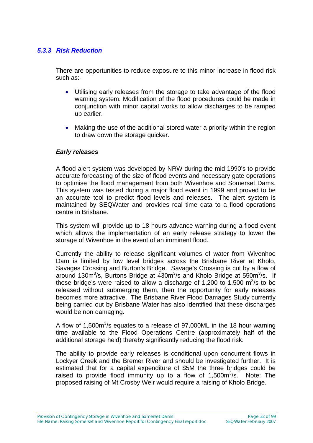#### *5.3.3 Risk Reduction*

There are opportunities to reduce exposure to this minor increase in flood risk such as:-

- Utilising early releases from the storage to take advantage of the flood warning system. Modification of the flood procedures could be made in conjunction with minor capital works to allow discharges to be ramped up earlier.
- Making the use of the additional stored water a priority within the region to draw down the storage quicker.

#### *Early releases*

A flood alert system was developed by NRW during the mid 1990's to provide accurate forecasting of the size of flood events and necessary gate operations to optimise the flood management from both Wivenhoe and Somerset Dams. This system was tested during a major flood event in 1999 and proved to be an accurate tool to predict flood levels and releases. The alert system is maintained by SEQWater and provides real time data to a flood operations centre in Brisbane.

This system will provide up to 18 hours advance warning during a flood event which allows the implementation of an early release strategy to lower the storage of Wivenhoe in the event of an imminent flood.

Currently the ability to release significant volumes of water from Wivenhoe Dam is limited by low level bridges across the Brisbane River at Kholo, Savages Crossing and Burton's Bridge. Savage's Crossing is cut by a flow of around 130 $m^3/s$ , Burtons Bridge at  $430m^3/s$  and Kholo Bridge at 550 $m^3/s$ . If these bridge's were raised to allow a discharge of 1,200 to 1,500  $\text{m}^3\text{/s}$  to be released without submerging them, then the opportunity for early releases becomes more attractive. The Brisbane River Flood Damages Study currently being carried out by Brisbane Water has also identified that these discharges would be non damaging.

A flow of 1,500 $m^3$ /s equates to a release of 97,000ML in the 18 hour warning time available to the Flood Operations Centre (approximately half of the additional storage held) thereby significantly reducing the flood risk.

The ability to provide early releases is conditional upon concurrent flows in Lockyer Creek and the Bremer River and should be investigated further. It is estimated that for a capital expenditure of \$5M the three bridges could be raised to provide flood immunity up to a flow of  $1,500\,\mathrm{m}^3/\mathrm{s}$ . Note: The proposed raising of Mt Crosby Weir would require a raising of Kholo Bridge.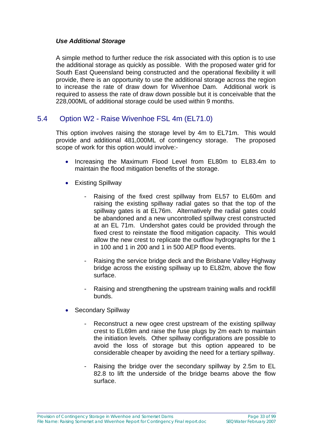#### *Use Additional Storage*

A simple method to further reduce the risk associated with this option is to use the additional storage as quickly as possible. With the proposed water grid for South East Queensland being constructed and the operational flexibility it will provide, there is an opportunity to use the additional storage across the region to increase the rate of draw down for Wivenhoe Dam. Additional work is required to assess the rate of draw down possible but it is conceivable that the 228,000ML of additional storage could be used within 9 months.

#### 5.4 Option W2 - Raise Wivenhoe FSL 4m (EL71.0)

This option involves raising the storage level by 4m to EL71m. This would provide and additional 481,000ML of contingency storage. The proposed scope of work for this option would involve:-

- Increasing the Maximum Flood Level from EL80m to EL83.4m to maintain the flood mitigation benefits of the storage.
- Existing Spillway
	- Raising of the fixed crest spillway from EL57 to EL60m and raising the existing spillway radial gates so that the top of the spillway gates is at EL76m. Alternatively the radial gates could be abandoned and a new uncontrolled spillway crest constructed at an EL 71m. Undershot gates could be provided through the fixed crest to reinstate the flood mitigation capacity. This would allow the new crest to replicate the outflow hydrographs for the 1 in 100 and 1 in 200 and 1 in 500 AEP flood events.
	- Raising the service bridge deck and the Brisbane Valley Highway bridge across the existing spillway up to EL82m, above the flow surface.
	- Raising and strengthening the upstream training walls and rockfill bunds.
- Secondary Spillway
	- Reconstruct a new ogee crest upstream of the existing spillway crest to EL69m and raise the fuse plugs by 2m each to maintain the initiation levels. Other spillway configurations are possible to avoid the loss of storage but this option appeared to be considerable cheaper by avoiding the need for a tertiary spillway.
	- Raising the bridge over the secondary spillway by 2.5m to EL 82.8 to lift the underside of the bridge beams above the flow surface.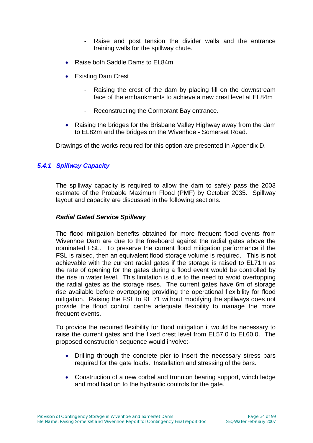- Raise and post tension the divider walls and the entrance training walls for the spillway chute.
- Raise both Saddle Dams to EL84m
- Existing Dam Crest
	- Raising the crest of the dam by placing fill on the downstream face of the embankments to achieve a new crest level at EL84m
	- Reconstructing the Cormorant Bay entrance.
- Raising the bridges for the Brisbane Valley Highway away from the dam to EL82m and the bridges on the Wivenhoe - Somerset Road.

Drawings of the works required for this option are presented in Appendix D.

#### *5.4.1 Spillway Capacity*

The spillway capacity is required to allow the dam to safely pass the 2003 estimate of the Probable Maximum Flood (PMF) by October 2035. Spillway layout and capacity are discussed in the following sections.

#### *Radial Gated Service Spillway*

The flood mitigation benefits obtained for more frequent flood events from Wivenhoe Dam are due to the freeboard against the radial gates above the nominated FSL. To preserve the current flood mitigation performance if the FSL is raised, then an equivalent flood storage volume is required. This is not achievable with the current radial gates if the storage is raised to EL71m as the rate of opening for the gates during a flood event would be controlled by the rise in water level. This limitation is due to the need to avoid overtopping the radial gates as the storage rises. The current gates have 6m of storage rise available before overtopping providing the operational flexibility for flood mitigation. Raising the FSL to RL 71 without modifying the spillways does not provide the flood control centre adequate flexibility to manage the more frequent events.

To provide the required flexibility for flood mitigation it would be necessary to raise the current gates and the fixed crest level from EL57.0 to EL60.0. The proposed construction sequence would involve:-

- Drilling through the concrete pier to insert the necessary stress bars required for the gate loads. Installation and stressing of the bars.
- Construction of a new corbel and trunnion bearing support, winch ledge and modification to the hydraulic controls for the gate.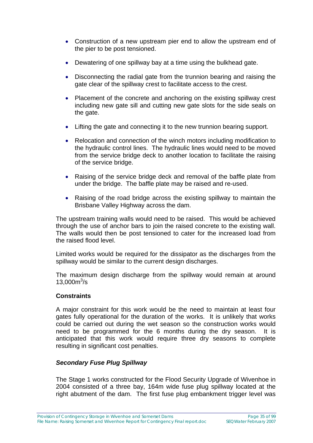- Construction of a new upstream pier end to allow the upstream end of the pier to be post tensioned.
- Dewatering of one spillway bay at a time using the bulkhead gate.
- Disconnecting the radial gate from the trunnion bearing and raising the gate clear of the spillway crest to facilitate access to the crest.
- Placement of the concrete and anchoring on the existing spillway crest including new gate sill and cutting new gate slots for the side seals on the gate.
- Lifting the gate and connecting it to the new trunnion bearing support.
- Relocation and connection of the winch motors including modification to the hydraulic control lines. The hydraulic lines would need to be moved from the service bridge deck to another location to facilitate the raising of the service bridge.
- Raising of the service bridge deck and removal of the baffle plate from under the bridge. The baffle plate may be raised and re-used.
- Raising of the road bridge across the existing spillway to maintain the Brisbane Valley Highway across the dam.

The upstream training walls would need to be raised. This would be achieved through the use of anchor bars to join the raised concrete to the existing wall. The walls would then be post tensioned to cater for the increased load from the raised flood level.

Limited works would be required for the dissipator as the discharges from the spillway would be similar to the current design discharges.

The maximum design discharge from the spillway would remain at around  $13,000m^3/s$ 

#### **Constraints**

A major constraint for this work would be the need to maintain at least four gates fully operational for the duration of the works. It is unlikely that works could be carried out during the wet season so the construction works would need to be programmed for the 6 months during the dry season. It is anticipated that this work would require three dry seasons to complete resulting in significant cost penalties.

#### *Secondary Fuse Plug Spillway*

The Stage 1 works constructed for the Flood Security Upgrade of Wivenhoe in 2004 consisted of a three bay, 164m wide fuse plug spillway located at the right abutment of the dam. The first fuse plug embankment trigger level was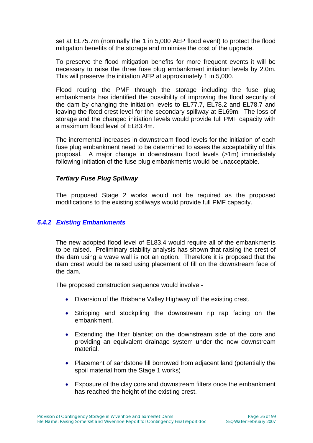set at EL75.7m (nominally the 1 in 5,000 AEP flood event) to protect the flood mitigation benefits of the storage and minimise the cost of the upgrade.

To preserve the flood mitigation benefits for more frequent events it will be necessary to raise the three fuse plug embankment initiation levels by 2.0m. This will preserve the initiation AEP at approximately 1 in 5,000.

Flood routing the PMF through the storage including the fuse plug embankments has identified the possibility of improving the flood security of the dam by changing the initiation levels to EL77.7, EL78.2 and EL78.7 and leaving the fixed crest level for the secondary spillway at EL69m. The loss of storage and the changed initiation levels would provide full PMF capacity with a maximum flood level of EL83.4m.

The incremental increases in downstream flood levels for the initiation of each fuse plug embankment need to be determined to asses the acceptability of this proposal. A major change in downstream flood levels (>1m) immediately following initiation of the fuse plug embankments would be unacceptable.

#### *Tertiary Fuse Plug Spillway*

The proposed Stage 2 works would not be required as the proposed modifications to the existing spillways would provide full PMF capacity.

#### *5.4.2 Existing Embankments*

The new adopted flood level of EL83.4 would require all of the embankments to be raised. Preliminary stability analysis has shown that raising the crest of the dam using a wave wall is not an option. Therefore it is proposed that the dam crest would be raised using placement of fill on the downstream face of the dam.

The proposed construction sequence would involve:-

- Diversion of the Brisbane Valley Highway off the existing crest.
- Stripping and stockpiling the downstream rip rap facing on the embankment.
- Extending the filter blanket on the downstream side of the core and providing an equivalent drainage system under the new downstream material.
- Placement of sandstone fill borrowed from adjacent land (potentially the spoil material from the Stage 1 works)
- Exposure of the clay core and downstream filters once the embankment has reached the height of the existing crest.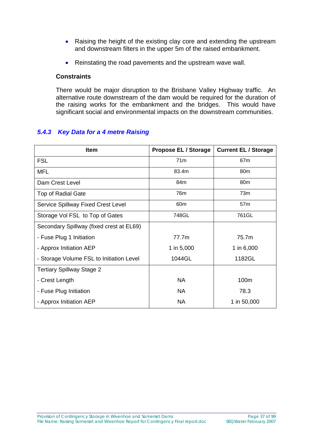- Raising the height of the existing clay core and extending the upstream and downstream filters in the upper 5m of the raised embankment.
- Reinstating the road pavements and the upstream wave wall.

#### **Constraints**

There would be major disruption to the Brisbane Valley Highway traffic. An alternative route downstream of the dam would be required for the duration of the raising works for the embankment and the bridges. This would have significant social and environmental impacts on the downstream communities.

### *5.4.3 Key Data for a 4 metre Raising*

| <b>Item</b>                               | <b>Propose EL / Storage</b> | <b>Current EL / Storage</b> |
|-------------------------------------------|-----------------------------|-----------------------------|
| <b>FSL</b>                                | 71 <sub>m</sub>             | 67 <sub>m</sub>             |
| <b>MFL</b>                                | 83.4m                       | 80 <sub>m</sub>             |
| Dam Crest Level                           | 84m                         | 80 <sub>m</sub>             |
| <b>Top of Radial Gate</b>                 | 76m                         | 73m                         |
| <b>Service Spillway Fixed Crest Level</b> | 60 <sub>m</sub>             | 57 <sub>m</sub>             |
| Storage Vol FSL to Top of Gates           | 748GL                       | 761GL                       |
| Secondary Spillway (fixed crest at EL69)  |                             |                             |
| - Fuse Plug 1 Initiation                  | 77.7 <sub>m</sub>           | 75.7m                       |
| - Approx Initiation AEP                   | 1 in 5,000                  | 1 in 6,000                  |
| - Storage Volume FSL to Initiation Level  | 1044GL                      | 1182GL                      |
| <b>Tertiary Spillway Stage 2</b>          |                             |                             |
| - Crest Length                            | <b>NA</b>                   | 100m                        |
| - Fuse Plug Initiation                    | <b>NA</b>                   | 78.3                        |
| - Approx Initiation AEP                   | <b>NA</b>                   | 1 in 50,000                 |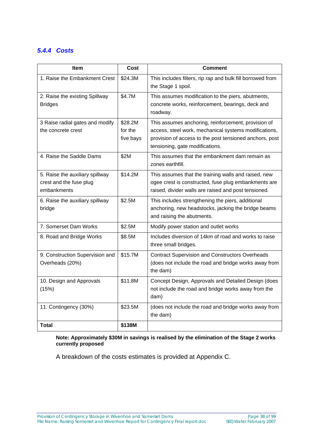## *5.4.4 Costs*

| <b>Item</b>                                                               | Cost                            | <b>Comment</b>                                                                                                                                                                                             |
|---------------------------------------------------------------------------|---------------------------------|------------------------------------------------------------------------------------------------------------------------------------------------------------------------------------------------------------|
| 1. Raise the Embankment Crest                                             | \$24.3M                         | This includes filters, rip rap and bulk fill borrowed from<br>the Stage 1 spoil.                                                                                                                           |
| 2. Raise the existing Spillway<br><b>Bridges</b>                          | \$4.7M                          | This assumes modification to the piers, abutments,<br>concrete works, reinforcement, bearings, deck and<br>roadway.                                                                                        |
| 3 Raise radial gates and modify<br>the concrete crest                     | \$28.2M<br>for the<br>five bays | This assumes anchoring, reinforcement, provision of<br>access, steel work, mechanical systems modifications,<br>provision of access to the post tensioned anchors, post<br>tensioning, gate modifications. |
| 4. Raise the Saddle Dams                                                  | \$2M                            | This assumes that the embankment dam remain as<br>zones earthfill.                                                                                                                                         |
| 5. Raise the auxiliary spillway<br>crest and the fuse plug<br>embankments | \$14.2M                         | This assumes that the training walls and raised, new<br>ogee crest is constructed, fuse plug embankments are<br>raised, divider walls are raised and post tensioned.                                       |
| 6. Raise the auxiliary spillway<br>bridge                                 | \$2.5M                          | This includes strengthening the piers, additional<br>anchoring, new headstocks, jacking the bridge beams<br>and raising the abutments.                                                                     |
| 7. Somerset Dam Works                                                     | \$2.5M                          | Modify power station and outlet works                                                                                                                                                                      |
| 8. Road and Bridge Works                                                  | \$8.5M                          | Includes diversion of 14km of road and works to raise<br>three small bridges.                                                                                                                              |
| 9. Construction Supervision and<br>Overheads (20%)                        | \$15.7M                         | <b>Contract Supervision and Constructors Overheads</b><br>(does not include the road and bridge works away from<br>the dam)                                                                                |
| 10. Design and Approvals<br>(15%)                                         | \$11.8M                         | Concept Design, Approvals and Detailed Design (does<br>not include the road and bridge works away from the<br>dam)                                                                                         |
| 11. Contingency (30%)                                                     | \$23.5M                         | (does not include the road and bridge works away from<br>the dam)                                                                                                                                          |
| Total                                                                     | \$138M                          |                                                                                                                                                                                                            |

**Note: Approximately \$30M in savings is realised by the elimination of the Stage 2 works currently proposed** 

A breakdown of the costs estimates is provided at Appendix C.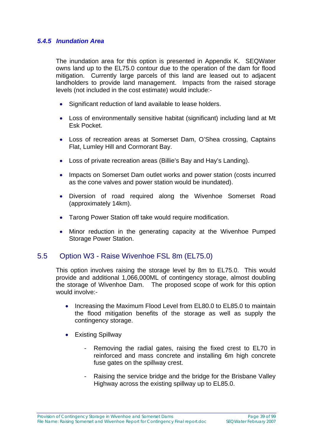#### *5.4.5 Inundation Area*

The inundation area for this option is presented in Appendix K. SEQWater owns land up to the EL75.0 contour due to the operation of the dam for flood mitigation. Currently large parcels of this land are leased out to adjacent landholders to provide land management. Impacts from the raised storage levels (not included in the cost estimate) would include:-

- Significant reduction of land available to lease holders.
- Loss of environmentally sensitive habitat (significant) including land at Mt Esk Pocket.
- Loss of recreation areas at Somerset Dam, O'Shea crossing, Captains Flat, Lumley Hill and Cormorant Bay.
- Loss of private recreation areas (Billie's Bay and Hay's Landing).
- Impacts on Somerset Dam outlet works and power station (costs incurred as the cone valves and power station would be inundated).
- Diversion of road required along the Wivenhoe Somerset Road (approximately 14km).
- Tarong Power Station off take would require modification.
- Minor reduction in the generating capacity at the Wivenhoe Pumped Storage Power Station.

## 5.5 Option W3 - Raise Wivenhoe FSL 8m (EL75.0)

This option involves raising the storage level by 8m to EL75.0. This would provide and additional 1,066,000ML of contingency storage, almost doubling the storage of Wivenhoe Dam. The proposed scope of work for this option would involve:-

- Increasing the Maximum Flood Level from EL80.0 to EL85.0 to maintain the flood mitigation benefits of the storage as well as supply the contingency storage.
- Existing Spillway
	- Removing the radial gates, raising the fixed crest to EL70 in reinforced and mass concrete and installing 6m high concrete fuse gates on the spillway crest.
	- Raising the service bridge and the bridge for the Brisbane Valley Highway across the existing spillway up to EL85.0.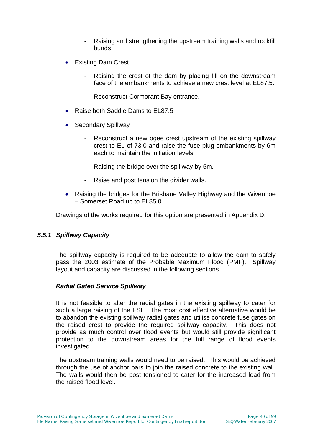- Raising and strengthening the upstream training walls and rockfill bunds.
- Existing Dam Crest
	- Raising the crest of the dam by placing fill on the downstream face of the embankments to achieve a new crest level at FL87.5.
	- Reconstruct Cormorant Bay entrance.
- Raise both Saddle Dams to EL87.5
- Secondary Spillway
	- Reconstruct a new ogee crest upstream of the existing spillway crest to EL of 73.0 and raise the fuse plug embankments by 6m each to maintain the initiation levels.
	- Raising the bridge over the spillway by 5m.
	- Raise and post tension the divider walls.
- Raising the bridges for the Brisbane Valley Highway and the Wivenhoe – Somerset Road up to EL85.0.

Drawings of the works required for this option are presented in Appendix D.

#### *5.5.1 Spillway Capacity*

The spillway capacity is required to be adequate to allow the dam to safely pass the 2003 estimate of the Probable Maximum Flood (PMF). Spillway layout and capacity are discussed in the following sections.

#### *Radial Gated Service Spillway*

It is not feasible to alter the radial gates in the existing spillway to cater for such a large raising of the FSL. The most cost effective alternative would be to abandon the existing spillway radial gates and utilise concrete fuse gates on the raised crest to provide the required spillway capacity. This does not provide as much control over flood events but would still provide significant protection to the downstream areas for the full range of flood events investigated.

The upstream training walls would need to be raised. This would be achieved through the use of anchor bars to join the raised concrete to the existing wall. The walls would then be post tensioned to cater for the increased load from the raised flood level.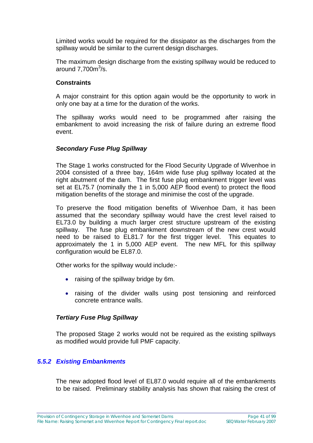Limited works would be required for the dissipator as the discharges from the spillway would be similar to the current design discharges.

The maximum design discharge from the existing spillway would be reduced to around  $7,700<sup>m3</sup>/s$ .

#### **Constraints**

A major constraint for this option again would be the opportunity to work in only one bay at a time for the duration of the works.

The spillway works would need to be programmed after raising the embankment to avoid increasing the risk of failure during an extreme flood event.

#### *Secondary Fuse Plug Spillway*

The Stage 1 works constructed for the Flood Security Upgrade of Wivenhoe in 2004 consisted of a three bay, 164m wide fuse plug spillway located at the right abutment of the dam. The first fuse plug embankment trigger level was set at EL75.7 (nominally the 1 in 5,000 AEP flood event) to protect the flood mitigation benefits of the storage and minimise the cost of the upgrade.

To preserve the flood mitigation benefits of Wivenhoe Dam, it has been assumed that the secondary spillway would have the crest level raised to EL73.0 by building a much larger crest structure upstream of the existing spillway. The fuse plug embankment downstream of the new crest would need to be raised to EL81.7 for the first trigger level. This equates to approximately the 1 in 5,000 AEP event. The new MFL for this spillway configuration would be EL87.0.

Other works for the spillway would include:-

- raising of the spillway bridge by 6m.
- raising of the divider walls using post tensioning and reinforced concrete entrance walls.

#### *Tertiary Fuse Plug Spillway*

The proposed Stage 2 works would not be required as the existing spillways as modified would provide full PMF capacity.

#### *5.5.2 Existing Embankments*

The new adopted flood level of EL87.0 would require all of the embankments to be raised. Preliminary stability analysis has shown that raising the crest of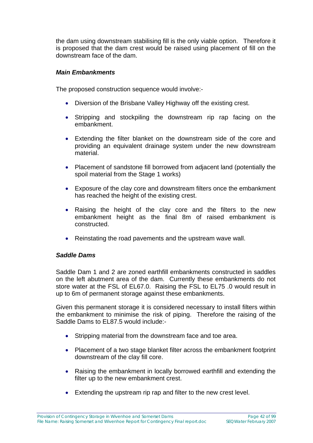the dam using downstream stabilising fill is the only viable option. Therefore it is proposed that the dam crest would be raised using placement of fill on the downstream face of the dam.

#### *Main Embankments*

The proposed construction sequence would involve:-

- Diversion of the Brisbane Valley Highway off the existing crest.
- Stripping and stockpiling the downstream rip rap facing on the embankment.
- Extending the filter blanket on the downstream side of the core and providing an equivalent drainage system under the new downstream material.
- Placement of sandstone fill borrowed from adjacent land (potentially the spoil material from the Stage 1 works)
- Exposure of the clay core and downstream filters once the embankment has reached the height of the existing crest.
- Raising the height of the clay core and the filters to the new embankment height as the final 8m of raised embankment is constructed.
- Reinstating the road pavements and the upstream wave wall.

#### *Saddle Dams*

Saddle Dam 1 and 2 are zoned earthfill embankments constructed in saddles on the left abutment area of the dam. Currently these embankments do not store water at the FSL of EL67.0. Raising the FSL to EL75 .0 would result in up to 6m of permanent storage against these embankments.

Given this permanent storage it is considered necessary to install filters within the embankment to minimise the risk of piping. Therefore the raising of the Saddle Dams to EL87.5 would include:-

- Stripping material from the downstream face and toe area.
- Placement of a two stage blanket filter across the embankment footprint downstream of the clay fill core.
- Raising the embankment in locally borrowed earthfill and extending the filter up to the new embankment crest.
- Extending the upstream rip rap and filter to the new crest level.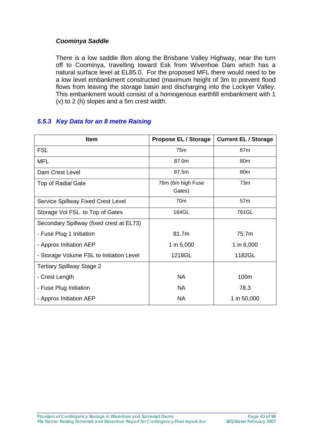### *Coominya Saddle*

There is a low saddle 8km along the Brisbane Valley Highway, near the turn off to Coominya, travelling toward Esk from Wivenhoe Dam which has a natural surface level at EL85.0. For the proposed MFL there would need to be a low level embankment constructed (maximum height of 3m to prevent flood flows from leaving the storage basin and discharging into the Lockyer Valley. This embankment would consist of a homogenous earthfill embankment with 1 (v) to 2 (h) slopes and a 5m crest width.

## *5.5.3 Key Data for an 8 metre Raising*

| <b>Item</b>                               | <b>Propose EL / Storage</b> | <b>Current EL / Storage</b> |
|-------------------------------------------|-----------------------------|-----------------------------|
| <b>FSL</b>                                | 75m                         | 67m                         |
| <b>MFL</b>                                | 87.0m                       | 80 <sub>m</sub>             |
| Dam Crest Level                           | 87.5m                       | 80 <sub>m</sub>             |
| <b>Top of Radial Gate</b>                 | 76m (6m high Fuse<br>Gates) | 73 <sub>m</sub>             |
| <b>Service Spillway Fixed Crest Level</b> | 70 <sub>m</sub>             | 57 <sub>m</sub>             |
| Storage Vol FSL to Top of Gates           | 164GL                       | 761GL                       |
| Secondary Spillway (fixed crest at EL73)  |                             |                             |
| - Fuse Plug 1 Initiation                  | 81.7m                       | 75.7m                       |
| - Approx Initiation AEP                   | 1 in 5,000                  | 1 in 6,000                  |
| - Storage Volume FSL to Initiation Level  | 1218GL                      | 1182GL                      |
| <b>Tertiary Spillway Stage 2</b>          |                             |                             |
| - Crest Length                            | <b>NA</b>                   | 100m                        |
| - Fuse Plug Initiation                    | <b>NA</b>                   | 78.3                        |
| - Approx Initiation AEP                   | <b>NA</b>                   | 1 in 50,000                 |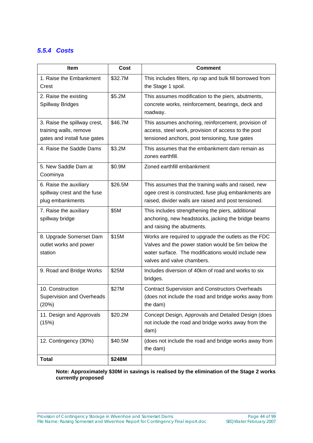## *5.5.4 Costs*

| <b>Item</b>                                                                            | Cost    | <b>Comment</b>                                                                                                                                                                                 |
|----------------------------------------------------------------------------------------|---------|------------------------------------------------------------------------------------------------------------------------------------------------------------------------------------------------|
| 1. Raise the Embankment<br>Crest                                                       | \$32.7M | This includes filters, rip rap and bulk fill borrowed from<br>the Stage 1 spoil.                                                                                                               |
| 2. Raise the existing<br><b>Spillway Bridges</b>                                       | \$5.2M  | This assumes modification to the piers, abutments,<br>concrete works, reinforcement, bearings, deck and<br>roadway.                                                                            |
| 3. Raise the spillway crest,<br>training walls, remove<br>gates and install fuse gates | \$46.7M | This assumes anchoring, reinforcement, provision of<br>access, steel work, provision of access to the post<br>tensioned anchors, post tensioning, fuse gates                                   |
| 4. Raise the Saddle Dams                                                               | \$3.2M  | This assumes that the embankment dam remain as<br>zones earthfill.                                                                                                                             |
| 5. New Saddle Dam at<br>Coominya                                                       | \$0.9M  | Zoned earthfill embankment                                                                                                                                                                     |
| 6. Raise the auxiliary<br>spillway crest and the fuse<br>plug embankments              | \$26.5M | This assumes that the training walls and raised, new<br>ogee crest is constructed, fuse plug embankments are<br>raised, divider walls are raised and post tensioned.                           |
| 7. Raise the auxiliary<br>spillway bridge                                              | \$5M    | This includes strengthening the piers, additional<br>anchoring, new headstocks, jacking the bridge beams<br>and raising the abutments.                                                         |
| 8. Upgrade Somerset Dam<br>outlet works and power<br>station                           | \$15M   | Works are required to upgrade the outlets as the FDC<br>Valves and the power station would be 5m below the<br>water surface. The modifications would include new<br>valves and valve chambers. |
| 9. Road and Bridge Works                                                               | \$25M   | Includes diversion of 40km of road and works to six<br>bridges.                                                                                                                                |
| 10. Construction<br><b>Supervision and Overheads</b><br>(20%)                          | \$27M   | <b>Contract Supervision and Constructors Overheads</b><br>(does not include the road and bridge works away from<br>the dam)                                                                    |
| 11. Design and Approvals<br>(15%)                                                      | \$20.2M | Concept Design, Approvals and Detailed Design (does<br>not include the road and bridge works away from the<br>dam)                                                                             |
| 12. Contingency (30%)                                                                  | \$40.5M | (does not include the road and bridge works away from<br>the dam)                                                                                                                              |
| <b>Total</b>                                                                           | \$248M  |                                                                                                                                                                                                |

**Note: Approximately \$30M in savings is realised by the elimination of the Stage 2 works currently proposed**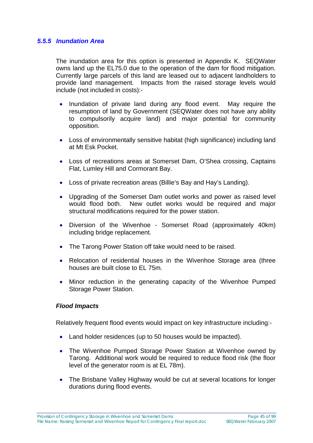#### *5.5.5 Inundation Area*

The inundation area for this option is presented in Appendix K. SEQWater owns land up the EL75.0 due to the operation of the dam for flood mitigation. Currently large parcels of this land are leased out to adjacent landholders to provide land management. Impacts from the raised storage levels would include (not included in costs):-

- Inundation of private land during any flood event. May require the resumption of land by Government (SEQWater does not have any ability to compulsorily acquire land) and major potential for community opposition.
- Loss of environmentally sensitive habitat (high significance) including land at Mt Esk Pocket.
- Loss of recreations areas at Somerset Dam, O'Shea crossing, Captains Flat, Lumley Hill and Cormorant Bay.
- Loss of private recreation areas (Billie's Bay and Hay's Landing).
- Upgrading of the Somerset Dam outlet works and power as raised level would flood both. New outlet works would be required and major structural modifications required for the power station.
- Diversion of the Wivenhoe Somerset Road (approximately 40km) including bridge replacement.
- The Tarong Power Station off take would need to be raised.
- Relocation of residential houses in the Wivenhoe Storage area (three houses are built close to EL 75m.
- Minor reduction in the generating capacity of the Wivenhoe Pumped Storage Power Station.

#### *Flood Impacts*

Relatively frequent flood events would impact on key infrastructure including:-

- Land holder residences (up to 50 houses would be impacted).
- The Wivenhoe Pumped Storage Power Station at Wivenhoe owned by Tarong. Additional work would be required to reduce flood risk (the floor level of the generator room is at EL 78m).
- The Brisbane Valley Highway would be cut at several locations for longer durations during flood events.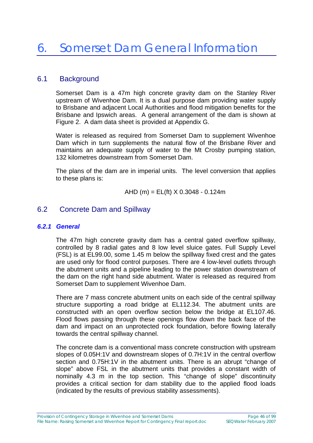## 6.1 Background

Somerset Dam is a 47m high concrete gravity dam on the Stanley River upstream of Wivenhoe Dam. It is a dual purpose dam providing water supply to Brisbane and adjacent Local Authorities and flood mitigation benefits for the Brisbane and Ipswich areas. A general arrangement of the dam is shown at Figure 2. A dam data sheet is provided at Appendix G.

Water is released as required from Somerset Dam to supplement Wivenhoe Dam which in turn supplements the natural flow of the Brisbane River and maintains an adequate supply of water to the Mt Crosby pumping station, 132 kilometres downstream from Somerset Dam.

The plans of the dam are in imperial units. The level conversion that applies to these plans is:

AHD (m) = EL(ft) 
$$
X
$$
 0.3048 - 0.124m

## 6.2 Concrete Dam and Spillway

#### *6.2.1 General*

The 47m high concrete gravity dam has a central gated overflow spillway, controlled by 8 radial gates and 8 low level sluice gates. Full Supply Level (FSL) is at EL99.00, some 1.45 m below the spillway fixed crest and the gates are used only for flood control purposes. There are 4 low-level outlets through the abutment units and a pipeline leading to the power station downstream of the dam on the right hand side abutment. Water is released as required from Somerset Dam to supplement Wivenhoe Dam.

There are 7 mass concrete abutment units on each side of the central spillway structure supporting a road bridge at EL112.34. The abutment units are constructed with an open overflow section below the bridge at EL107.46. Flood flows passing through these openings flow down the back face of the dam and impact on an unprotected rock foundation, before flowing laterally towards the central spillway channel.

The concrete dam is a conventional mass concrete construction with upstream slopes of 0.05H:1V and downstream slopes of 0.7H:1V in the central overflow section and 0.75H:1V in the abutment units. There is an abrupt "change of slope" above FSL in the abutment units that provides a constant width of nominally 4.3 m in the top section. This "change of slope" discontinuity provides a critical section for dam stability due to the applied flood loads (indicated by the results of previous stability assessments).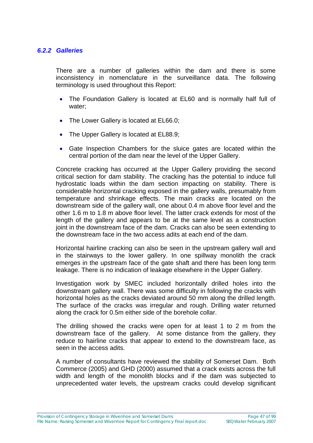#### *6.2.2 Galleries*

There are a number of galleries within the dam and there is some inconsistency in nomenclature in the surveillance data. The following terminology is used throughout this Report:

- The Foundation Gallery is located at EL60 and is normally half full of water;
- The Lower Gallery is located at EL66.0;
- The Upper Gallery is located at EL88.9;
- Gate Inspection Chambers for the sluice gates are located within the central portion of the dam near the level of the Upper Gallery.

Concrete cracking has occurred at the Upper Gallery providing the second critical section for dam stability. The cracking has the potential to induce full hydrostatic loads within the dam section impacting on stability. There is considerable horizontal cracking exposed in the gallery walls, presumably from temperature and shrinkage effects. The main cracks are located on the downstream side of the gallery wall, one about 0.4 m above floor level and the other 1.6 m to 1.8 m above floor level. The latter crack extends for most of the length of the gallery and appears to be at the same level as a construction joint in the downstream face of the dam. Cracks can also be seen extending to the downstream face in the two access adits at each end of the dam.

Horizontal hairline cracking can also be seen in the upstream gallery wall and in the stairways to the lower gallery. In one spillway monolith the crack emerges in the upstream face of the gate shaft and there has been long term leakage. There is no indication of leakage elsewhere in the Upper Gallery.

Investigation work by SMEC included horizontally drilled holes into the downstream gallery wall. There was some difficulty in following the cracks with horizontal holes as the cracks deviated around 50 mm along the drilled length. The surface of the cracks was irregular and rough. Drilling water returned along the crack for 0.5m either side of the borehole collar.

The drilling showed the cracks were open for at least 1 to 2 m from the downstream face of the gallery. At some distance from the gallery, they reduce to hairline cracks that appear to extend to the downstream face, as seen in the access adits.

A number of consultants have reviewed the stability of Somerset Dam. Both Commerce (2005) and GHD (2000) assumed that a crack exists across the full width and length of the monolith blocks and if the dam was subjected to unprecedented water levels, the upstream cracks could develop significant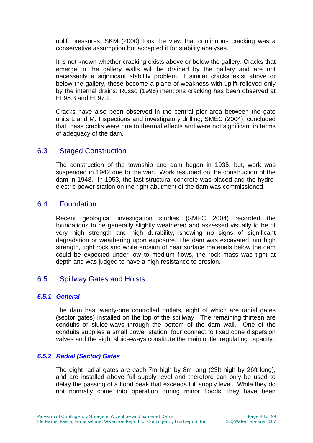uplift pressures. SKM (2000) took the view that continuous cracking was a conservative assumption but accepted it for stability analyses.

It is not known whether cracking exists above or below the gallery. Cracks that emerge in the gallery walls will be drained by the gallery and are not necessarily a significant stability problem. If similar cracks exist above or below the gallery, these become a plane of weakness with uplift relieved only by the internal drains. Russo (1996) mentions cracking has been observed at EL95.3 and EL97.2.

Cracks have also been observed in the central pier area between the gate units L and M. Inspections and investigatory drilling, SMEC (2004), concluded that these cracks were due to thermal effects and were not significant in terms of adequacy of the dam.

## 6.3 Staged Construction

The construction of the township and dam began in 1935, but, work was suspended in 1942 due to the war. Work resumed on the construction of the dam in 1948. In 1953, the last structural concrete was placed and the hydroelectric power station on the right abutment of the dam was commissioned.

## 6.4 Foundation

Recent geological investigation studies (SMEC 2004) recorded the foundations to be generally slightly weathered and assessed visually to be of very high strength and high durability, showing no signs of significant degradation or weathering upon exposure. The dam was excavated into high strength, tight rock and while erosion of near surface materials below the dam could be expected under low to medium flows, the rock mass was tight at depth and was judged to have a high resistance to erosion.

# 6.5 Spillway Gates and Hoists

#### *6.5.1 General*

The dam has twenty-one controlled outlets, eight of which are radial gates (sector gates) installed on the top of the spillway. The remaining thirteen are conduits or sluice-ways through the bottom of the dam wall. One of the conduits supplies a small power station, four connect to fixed cone dispersion valves and the eight sluice-ways constitute the main outlet regulating capacity.

#### *6.5.2 Radial (Sector) Gates*

The eight radial gates are each 7m high by 8m long (23ft high by 26ft long), and are installed above full supply level and therefore can only be used to delay the passing of a flood peak that exceeds full supply level. While they do not normally come into operation during minor floods, they have been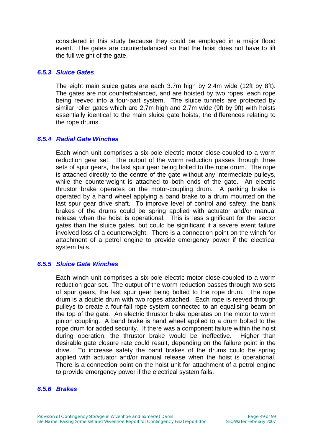considered in this study because they could be employed in a major flood event. The gates are counterbalanced so that the hoist does not have to lift the full weight of the gate.

#### *6.5.3 Sluice Gates*

The eight main sluice gates are each 3.7m high by 2.4m wide (12ft by 8ft). The gates are not counterbalanced, and are hoisted by two ropes, each rope being reeved into a four-part system. The sluice tunnels are protected by similar roller gates which are 2.7m high and 2.7m wide (9ft by 9ft) with hoists essentially identical to the main sluice gate hoists, the differences relating to the rope drums.

#### *6.5.4 Radial Gate Winches*

Each winch unit comprises a six-pole electric motor close-coupled to a worm reduction gear set. The output of the worm reduction passes through three sets of spur gears, the last spur gear being bolted to the rope drum. The rope is attached directly to the centre of the gate without any intermediate pulleys, while the counterweight is attached to both ends of the gate. An electric thrustor brake operates on the motor-coupling drum. A parking brake is operated by a hand wheel applying a band brake to a drum mounted on the last spur gear drive shaft. To improve level of control and safety, the bank brakes of the drums could be spring applied with actuator and/or manual release when the hoist is operational. This is less significant for the sector gates than the sluice gates, but could be significant if a severe event failure involved loss of a counterweight. There is a connection point on the winch for attachment of a petrol engine to provide emergency power if the electrical system fails.

#### *6.5.5 Sluice Gate Winches*

Each winch unit comprises a six-pole electric motor close-coupled to a worm reduction gear set. The output of the worm reduction passes through two sets of spur gears, the last spur gear being bolted to the rope drum. The rope drum is a double drum with two ropes attached. Each rope is reeved through pulleys to create a four-fall rope system connected to an equalising beam on the top of the gate. An electric thrustor brake operates on the motor to worm pinion coupling. A band brake is hand wheel applied to a drum bolted to the rope drum for added security. If there was a component failure within the hoist during operation, the thrustor brake would be ineffective. Higher than desirable gate closure rate could result, depending on the failure point in the drive. To increase safety the band brakes of the drums could be spring applied with actuator and/or manual release when the hoist is operational. There is a connection point on the hoist unit for attachment of a petrol engine to provide emergency power if the electrical system fails.

#### *6.5.6 Brakes*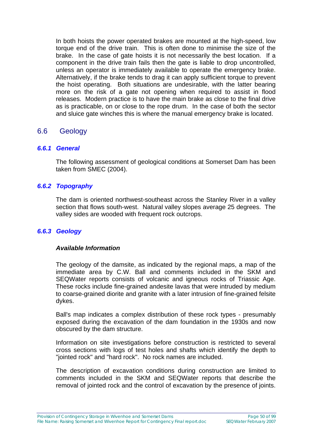In both hoists the power operated brakes are mounted at the high-speed, low torque end of the drive train. This is often done to minimise the size of the brake. In the case of gate hoists it is not necessarily the best location. If a component in the drive train fails then the gate is liable to drop uncontrolled, unless an operator is immediately available to operate the emergency brake. Alternatively, if the brake tends to drag it can apply sufficient torque to prevent the hoist operating. Both situations are undesirable, with the latter bearing more on the risk of a gate not opening when required to assist in flood releases. Modern practice is to have the main brake as close to the final drive as is practicable, on or close to the rope drum. In the case of both the sector and sluice gate winches this is where the manual emergency brake is located.

## 6.6 Geology

#### *6.6.1 General*

The following assessment of geological conditions at Somerset Dam has been taken from SMEC (2004).

#### *6.6.2 Topography*

The dam is oriented northwest-southeast across the Stanley River in a valley section that flows south-west. Natural valley slopes average 25 degrees. The valley sides are wooded with frequent rock outcrops.

#### *6.6.3 Geology*

#### *Available Information*

The geology of the damsite, as indicated by the regional maps, a map of the immediate area by C.W. Ball and comments included in the SKM and SEQWater reports consists of volcanic and igneous rocks of Triassic Age. These rocks include fine-grained andesite lavas that were intruded by medium to coarse-grained diorite and granite with a later intrusion of fine-grained felsite dykes.

Ball's map indicates a complex distribution of these rock types - presumably exposed during the excavation of the dam foundation in the 1930s and now obscured by the dam structure.

Information on site investigations before construction is restricted to several cross sections with logs of test holes and shafts which identify the depth to "jointed rock" and "hard rock". No rock names are included.

The description of excavation conditions during construction are limited to comments included in the SKM and SEQWater reports that describe the removal of jointed rock and the control of excavation by the presence of joints.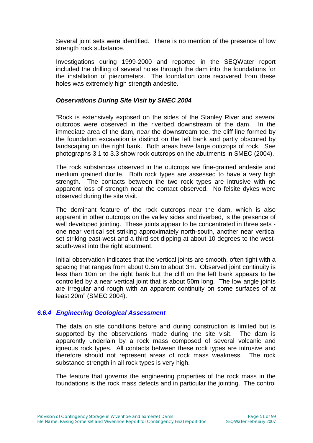Several joint sets were identified. There is no mention of the presence of low strength rock substance.

Investigations during 1999-2000 and reported in the SEQWater report included the drilling of several holes through the dam into the foundations for the installation of piezometers. The foundation core recovered from these holes was extremely high strength andesite.

#### *Observations During Site Visit by SMEC 2004*

"Rock is extensively exposed on the sides of the Stanley River and several outcrops were observed in the riverbed downstream of the dam. In the immediate area of the dam, near the downstream toe, the cliff line formed by the foundation excavation is distinct on the left bank and partly obscured by landscaping on the right bank. Both areas have large outcrops of rock. See photographs 3.1 to 3.3 show rock outcrops on the abutments in SMEC (2004).

The rock substances observed in the outcrops are fine-grained andesite and medium grained diorite. Both rock types are assessed to have a very high strength. The contacts between the two rock types are intrusive with no apparent loss of strength near the contact observed. No felsite dykes were observed during the site visit.

The dominant feature of the rock outcrops near the dam, which is also apparent in other outcrops on the valley sides and riverbed, is the presence of well developed jointing. These joints appear to be concentrated in three sets one near vertical set striking approximately north-south, another near vertical set striking east-west and a third set dipping at about 10 degrees to the westsouth-west into the right abutment.

Initial observation indicates that the vertical joints are smooth, often tight with a spacing that ranges from about 0.5m to about 3m. Observed joint continuity is less than 10m on the right bank but the cliff on the left bank appears to be controlled by a near vertical joint that is about 50m long. The low angle joints are irregular and rough with an apparent continuity on some surfaces of at least 20m" (SMEC 2004).

#### *6.6.4 Engineering Geological Assessment*

The data on site conditions before and during construction is limited but is supported by the observations made during the site visit. The dam is apparently underlain by a rock mass composed of several volcanic and igneous rock types. All contacts between these rock types are intrusive and therefore should not represent areas of rock mass weakness. The rock substance strength in all rock types is very high.

The feature that governs the engineering properties of the rock mass in the foundations is the rock mass defects and in particular the jointing. The control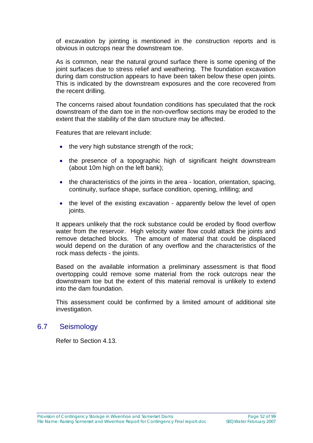of excavation by jointing is mentioned in the construction reports and is obvious in outcrops near the downstream toe.

As is common, near the natural ground surface there is some opening of the joint surfaces due to stress relief and weathering. The foundation excavation during dam construction appears to have been taken below these open joints. This is indicated by the downstream exposures and the core recovered from the recent drilling.

The concerns raised about foundation conditions has speculated that the rock downstream of the dam toe in the non-overflow sections may be eroded to the extent that the stability of the dam structure may be affected.

Features that are relevant include:

- the very high substance strength of the rock;
- the presence of a topographic high of significant height downstream (about 10m high on the left bank);
- the characteristics of the joints in the area location, orientation, spacing, continuity, surface shape, surface condition, opening, infilling; and
- the level of the existing excavation apparently below the level of open joints.

It appears unlikely that the rock substance could be eroded by flood overflow water from the reservoir. High velocity water flow could attack the joints and remove detached blocks. The amount of material that could be displaced would depend on the duration of any overflow and the characteristics of the rock mass defects - the joints.

Based on the available information a preliminary assessment is that flood overtopping could remove some material from the rock outcrops near the downstream toe but the extent of this material removal is unlikely to extend into the dam foundation.

This assessment could be confirmed by a limited amount of additional site investigation.

### 6.7 Seismology

Refer to Section 4.13.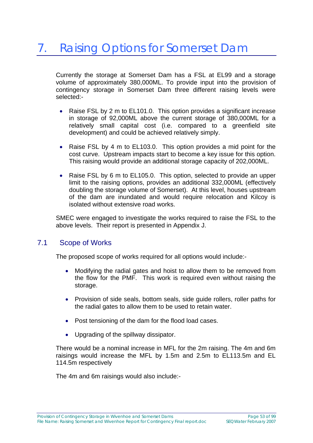Currently the storage at Somerset Dam has a FSL at EL99 and a storage volume of approximately 380,000ML. To provide input into the provision of contingency storage in Somerset Dam three different raising levels were selected:-

- Raise FSL by 2 m to EL101.0. This option provides a significant increase in storage of 92,000ML above the current storage of 380,000ML for a relatively small capital cost (i.e. compared to a greenfield site development) and could be achieved relatively simply.
- Raise FSL by 4 m to EL103.0. This option provides a mid point for the cost curve. Upstream impacts start to become a key issue for this option. This raising would provide an additional storage capacity of 202,000ML.
- Raise FSL by 6 m to EL105.0. This option, selected to provide an upper limit to the raising options, provides an additional 332,000ML (effectively doubling the storage volume of Somerset). At this level, houses upstream of the dam are inundated and would require relocation and Kilcoy is isolated without extensive road works.

SMEC were engaged to investigate the works required to raise the FSL to the above levels. Their report is presented in Appendix J.

## 7.1 Scope of Works

The proposed scope of works required for all options would include:-

- Modifying the radial gates and hoist to allow them to be removed from the flow for the PMF. This work is required even without raising the storage.
- Provision of side seals, bottom seals, side guide rollers, roller paths for the radial gates to allow them to be used to retain water.
- Post tensioning of the dam for the flood load cases.
- Upgrading of the spillway dissipator.

There would be a nominal increase in MFL for the 2m raising. The 4m and 6m raisings would increase the MFL by 1.5m and 2.5m to EL113.5m and EL 114.5m respectively

The 4m and 6m raisings would also include:-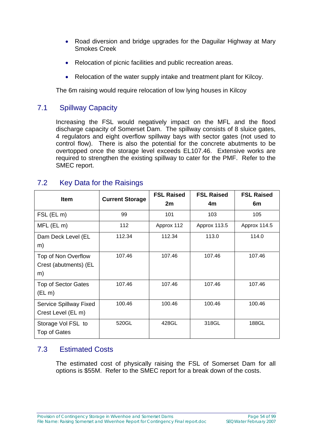- Road diversion and bridge upgrades for the Daguilar Highway at Mary Smokes Creek
- Relocation of picnic facilities and public recreation areas.
- Relocation of the water supply intake and treatment plant for Kilcoy.

The 6m raising would require relocation of low lying houses in Kilcoy

# 7.1 Spillway Capacity

Increasing the FSL would negatively impact on the MFL and the flood discharge capacity of Somerset Dam. The spillway consists of 8 sluice gates, 4 regulators and eight overflow spillway bays with sector gates (not used to control flow). There is also the potential for the concrete abutments to be overtopped once the storage level exceeds EL107.46. Extensive works are required to strengthen the existing spillway to cater for the PMF. Refer to the SMEC report.

| <b>Item</b>                | <b>Current Storage</b> | <b>FSL Raised</b><br>2m | <b>FSL Raised</b><br>4m | <b>FSL Raised</b><br>6m |
|----------------------------|------------------------|-------------------------|-------------------------|-------------------------|
|                            |                        |                         |                         |                         |
| FSL (EL m)                 | 99                     | 101                     | 103                     | 105                     |
| MFL (EL m)                 | 112                    | Approx 112              | Approx 113.5            | Approx 114.5            |
| Dam Deck Level (EL         | 112.34                 | 112.34                  | 113.0                   | 114.0                   |
| m)                         |                        |                         |                         |                         |
| Top of Non Overflow        | 107.46                 | 107.46                  | 107.46                  | 107.46                  |
| Crest (abutments) (EL      |                        |                         |                         |                         |
| m)                         |                        |                         |                         |                         |
| <b>Top of Sector Gates</b> | 107.46                 | 107.46                  | 107.46                  | 107.46                  |
| $(EL \, m)$                |                        |                         |                         |                         |
| Service Spillway Fixed     | 100.46                 | 100.46                  | 100.46                  | 100.46                  |
| Crest Level (EL m)         |                        |                         |                         |                         |
| Storage Vol FSL to         | 520GL                  | 428GL                   | 318GL                   | 188GL                   |
| Top of Gates               |                        |                         |                         |                         |

# 7.2 Key Data for the Raisings

# 7.3 Estimated Costs

The estimated cost of physically raising the FSL of Somerset Dam for all options is \$55M. Refer to the SMEC report for a break down of the costs.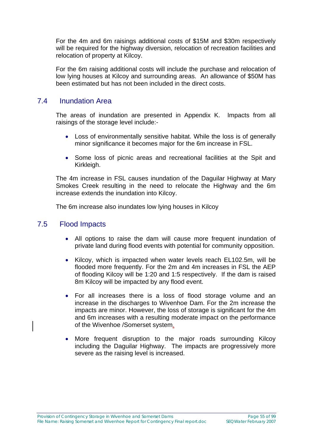For the 4m and 6m raisings additional costs of \$15M and \$30m respectively will be required for the highway diversion, relocation of recreation facilities and relocation of property at Kilcoy.

For the 6m raising additional costs will include the purchase and relocation of low lying houses at Kilcoy and surrounding areas. An allowance of \$50M has been estimated but has not been included in the direct costs.

## 7.4 Inundation Area

The areas of inundation are presented in Appendix K. Impacts from all raisings of the storage level include:-

- Loss of environmentally sensitive habitat. While the loss is of generally minor significance it becomes major for the 6m increase in FSL.
- Some loss of picnic areas and recreational facilities at the Spit and Kirkleigh.

The 4m increase in FSL causes inundation of the Daguilar Highway at Mary Smokes Creek resulting in the need to relocate the Highway and the 6m increase extends the inundation into Kilcoy.

The 6m increase also inundates low lying houses in Kilcoy

## 7.5 Flood Impacts

- All options to raise the dam will cause more frequent inundation of private land during flood events with potential for community opposition.
- Kilcoy, which is impacted when water levels reach EL102.5m, will be flooded more frequently. For the 2m and 4m increases in FSL the AEP of flooding Kilcoy will be 1:20 and 1:5 respectively. If the dam is raised 8m Kilcoy will be impacted by any flood event.
- For all increases there is a loss of flood storage volume and an increase in the discharges to Wivenhoe Dam. For the 2m increase the impacts are minor. However, the loss of storage is significant for the 4m and 6m increases with a resulting moderate impact on the performance of the Wivenhoe /Somerset system.
- More frequent disruption to the major roads surrounding Kilcoy including the Daguilar Highway. The impacts are progressively more severe as the raising level is increased.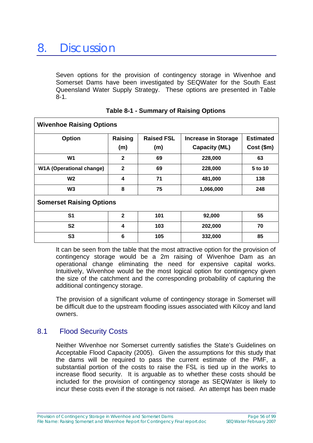Seven options for the provision of contingency storage in Wivenhoe and Somerset Dams have been investigated by SEQWater for the South East Queensland Water Supply Strategy. These options are presented in Table 8-1.

| <b>Wivenhoe Raising Options</b> |                |                   |                            |                  |
|---------------------------------|----------------|-------------------|----------------------------|------------------|
| <b>Option</b>                   | Raising        | <b>Raised FSL</b> | <b>Increase in Storage</b> | <b>Estimated</b> |
|                                 | (m)            | (m)               | <b>Capacity (ML)</b>       | $Cost ($ \$m $)$ |
| W1                              | $\mathbf{2}$   | 69                | 228,000                    | 63               |
| <b>W1A (Operational change)</b> | $\mathbf{2}$   | 69                | 228,000                    | 5 to 10          |
| W <sub>2</sub>                  | 4              | 71                | 481,000                    | 138              |
| W <sub>3</sub>                  | 8              | 75                | 1,066,000                  | 248              |
| <b>Somerset Raising Options</b> |                |                   |                            |                  |
| S <sub>1</sub>                  | $\mathbf{2}$   | 101               | 92,000                     | 55               |
| S <sub>2</sub>                  | 4              | 103               | 202,000                    | 70               |
| S <sub>3</sub>                  | $6\phantom{1}$ | 105               | 332,000                    | 85               |

| <b>Table 8-1 - Summary of Raising Options</b> |  |  |
|-----------------------------------------------|--|--|
|-----------------------------------------------|--|--|

It can be seen from the table that the most attractive option for the provision of contingency storage would be a 2m raising of Wivenhoe Dam as an operational change eliminating the need for expensive capital works. Intuitively, Wivenhoe would be the most logical option for contingency given the size of the catchment and the corresponding probability of capturing the additional contingency storage.

The provision of a significant volume of contingency storage in Somerset will be difficult due to the upstream flooding issues associated with Kilcoy and land owners.

# 8.1 Flood Security Costs

Neither Wivenhoe nor Somerset currently satisfies the State's Guidelines on Acceptable Flood Capacity (2005). Given the assumptions for this study that the dams will be required to pass the current estimate of the PMF, a substantial portion of the costs to raise the FSL is tied up in the works to increase flood security. It is arguable as to whether these costs should be included for the provision of contingency storage as SEQWater is likely to incur these costs even if the storage is not raised. An attempt has been made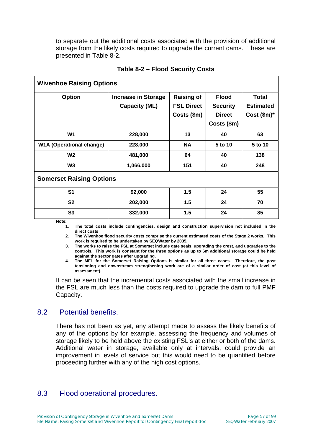to separate out the additional costs associated with the provision of additional storage from the likely costs required to upgrade the current dams. These are presented in Table 8-2.

| <b>Wivenhoe Raising Options</b>                    |                                                       |                                                  |                                                    |  |  |
|----------------------------------------------------|-------------------------------------------------------|--------------------------------------------------|----------------------------------------------------|--|--|
| <b>Increase in Storage</b><br><b>Capacity (ML)</b> | <b>Raising of</b><br><b>FSL Direct</b><br>Costs (\$m) | <b>Flood</b><br><b>Security</b><br><b>Direct</b> | <b>Total</b><br><b>Estimated</b><br>Cost $(\$m)^*$ |  |  |
|                                                    |                                                       |                                                  |                                                    |  |  |
| 228,000                                            | 13                                                    | 40                                               | 63                                                 |  |  |
| 228,000                                            | <b>NA</b>                                             | 5 to 10                                          | 5 to 10                                            |  |  |
| 481,000                                            | 64                                                    | 40                                               | 138                                                |  |  |
| 1,066,000                                          | 151                                                   | 40                                               | 248                                                |  |  |
| <b>Somerset Raising Options</b>                    |                                                       |                                                  |                                                    |  |  |
| 92,000                                             | 1.5                                                   | 24                                               | 55                                                 |  |  |
| 202,000                                            | 1.5                                                   | 24                                               | 70                                                 |  |  |
| 332,000                                            | 1.5                                                   | 24                                               | 85                                                 |  |  |
|                                                    |                                                       |                                                  | Costs (\$m)                                        |  |  |

#### **Table 8-2 – Flood Security Costs**

**Note:** 

**1. The total costs include contingencies, design and construction supervision not included in the direct costs** 

**2. The Wivenhoe flood security costs comprise the current estimated costs of the Stage 2 works. This work is required to be undertaken by SEQWater by 2035.** 

**3. The works to raise the FSL at Somerset include gate seals, upgrading the crest, and upgrades to the controls. This work is constant for the three options as up to 6m additional storage could be held against the sector gates after upgrading.** 

**4. The MFL for the Somerset Raising Options is similar for all three cases. Therefore, the post tensioning and downstream strengthening work are of a similar order of cost (at this level of assessment).** 

It can be seen that the incremental costs associated with the small increase in the FSL are much less than the costs required to upgrade the dam to full PMF Capacity.

## 8.2 Potential benefits.

There has not been as yet, any attempt made to assess the likely benefits of any of the options by for example, assessing the frequency and volumes of storage likely to be held above the existing FSL's at either or both of the dams. Additional water in storage, available only at intervals, could provide an improvement in levels of service but this would need to be quantified before proceeding further with any of the high cost options.

# 8.3 Flood operational procedures.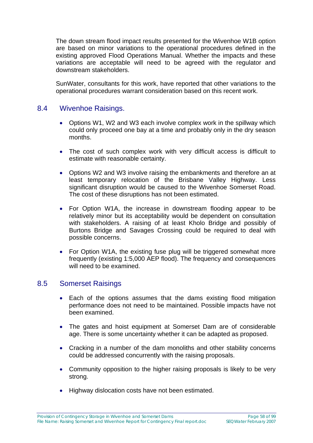The down stream flood impact results presented for the Wivenhoe W1B option are based on minor variations to the operational procedures defined in the existing approved Flood Operations Manual. Whether the impacts and these variations are acceptable will need to be agreed with the regulator and downstream stakeholders.

SunWater, consultants for this work, have reported that other variations to the operational procedures warrant consideration based on this recent work.

## 8.4 Wivenhoe Raisings.

- Options W1, W2 and W3 each involve complex work in the spillway which could only proceed one bay at a time and probably only in the dry season months.
- The cost of such complex work with very difficult access is difficult to estimate with reasonable certainty.
- Options W2 and W3 involve raising the embankments and therefore an at least temporary relocation of the Brisbane Valley Highway. Less significant disruption would be caused to the Wivenhoe Somerset Road. The cost of these disruptions has not been estimated.
- For Option W1A, the increase in downstream flooding appear to be relatively minor but its acceptability would be dependent on consultation with stakeholders. A raising of at least Kholo Bridge and possibly of Burtons Bridge and Savages Crossing could be required to deal with possible concerns.
- For Option W1A, the existing fuse plug will be triggered somewhat more frequently (existing 1:5,000 AEP flood). The frequency and consequences will need to be examined.

#### 8.5 Somerset Raisings

- Each of the options assumes that the dams existing flood mitigation performance does not need to be maintained. Possible impacts have not been examined.
- The gates and hoist equipment at Somerset Dam are of considerable age. There is some uncertainty whether it can be adapted as proposed.
- Cracking in a number of the dam monoliths and other stability concerns could be addressed concurrently with the raising proposals.
- Community opposition to the higher raising proposals is likely to be very strong.
- Highway dislocation costs have not been estimated.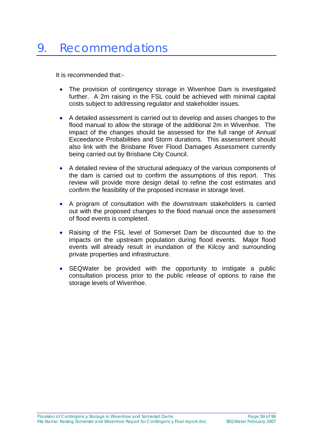It is recommended that:-

- The provision of contingency storage in Wivenhoe Dam is investigated further. A 2m raising in the FSL could be achieved with minimal capital costs subject to addressing regulator and stakeholder issues.
- A detailed assessment is carried out to develop and asses changes to the flood manual to allow the storage of the additional 2m in Wivenhoe. The impact of the changes should be assessed for the full range of Annual Exceedance Probabilities and Storm durations. This assessment should also link with the Brisbane River Flood Damages Assessment currently being carried out by Brisbane City Council.
- A detailed review of the structural adequacy of the various components of the dam is carried out to confirm the assumptions of this report. This review will provide more design detail to refine the cost estimates and confirm the feasibility of the proposed increase in storage level.
- A program of consultation with the downstream stakeholders is carried out with the proposed changes to the flood manual once the assessment of flood events is completed.
- Raising of the FSL level of Somerset Dam be discounted due to the impacts on the upstream population during flood events. Major flood events will already result in inundation of the Kilcoy and surrounding private properties and infrastructure.
- SEQWater be provided with the opportunity to instigate a public consultation process prior to the public release of options to raise the storage levels of Wivenhoe.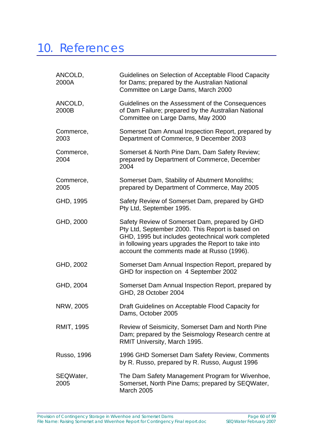# 10. References

| ANCOLD,<br>2000A   | Guidelines on Selection of Acceptable Flood Capacity<br>for Dams; prepared by the Australian National<br>Committee on Large Dams, March 2000                                                                                                                  |
|--------------------|---------------------------------------------------------------------------------------------------------------------------------------------------------------------------------------------------------------------------------------------------------------|
| ANCOLD,<br>2000B   | Guidelines on the Assessment of the Consequences<br>of Dam Failure; prepared by the Australian National<br>Committee on Large Dams, May 2000                                                                                                                  |
| Commerce,<br>2003  | Somerset Dam Annual Inspection Report, prepared by<br>Department of Commerce, 9 December 2003                                                                                                                                                                 |
| Commerce,<br>2004  | Somerset & North Pine Dam, Dam Safety Review;<br>prepared by Department of Commerce, December<br>2004                                                                                                                                                         |
| Commerce,<br>2005  | Somerset Dam, Stability of Abutment Monoliths;<br>prepared by Department of Commerce, May 2005                                                                                                                                                                |
| GHD, 1995          | Safety Review of Somerset Dam, prepared by GHD<br>Pty Ltd, September 1995.                                                                                                                                                                                    |
| GHD, 2000          | Safety Review of Somerset Dam, prepared by GHD<br>Pty Ltd, September 2000. This Report is based on<br>GHD, 1995 but includes geotechnical work completed<br>in following years upgrades the Report to take into<br>account the comments made at Russo (1996). |
| GHD, 2002          | Somerset Dam Annual Inspection Report, prepared by<br>GHD for inspection on 4 September 2002                                                                                                                                                                  |
| GHD, 2004          | Somerset Dam Annual Inspection Report, prepared by<br>GHD, 28 October 2004                                                                                                                                                                                    |
| NRW, 2005          | Draft Guidelines on Acceptable Flood Capacity for<br>Dams, October 2005                                                                                                                                                                                       |
| <b>RMIT, 1995</b>  | Review of Seismicity, Somerset Dam and North Pine<br>Dam; prepared by the Seismology Research centre at<br>RMIT University, March 1995.                                                                                                                       |
| <b>Russo, 1996</b> | 1996 GHD Somerset Dam Safety Review, Comments<br>by R. Russo, prepared by R. Russo, August 1996                                                                                                                                                               |
| SEQWater,<br>2005  | The Dam Safety Management Program for Wivenhoe,<br>Somerset, North Pine Dams; prepared by SEQWater,<br><b>March 2005</b>                                                                                                                                      |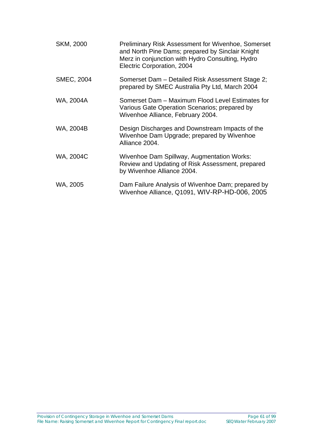| SKM, 2000         | <b>Preliminary Risk Assessment for Wivenhoe, Somerset</b><br>and North Pine Dams; prepared by Sinclair Knight<br>Merz in conjunction with Hydro Consulting, Hydro<br>Electric Corporation, 2004 |
|-------------------|-------------------------------------------------------------------------------------------------------------------------------------------------------------------------------------------------|
| <b>SMEC, 2004</b> | Somerset Dam – Detailed Risk Assessment Stage 2;<br>prepared by SMEC Australia Pty Ltd, March 2004                                                                                              |
| WA, 2004A         | Somerset Dam - Maximum Flood Level Estimates for<br>Various Gate Operation Scenarios; prepared by<br>Wivenhoe Alliance, February 2004.                                                          |
| WA, 2004B         | Design Discharges and Downstream Impacts of the<br>Wivenhoe Dam Upgrade; prepared by Wivenhoe<br>Alliance 2004.                                                                                 |
| WA, 2004C         | Wivenhoe Dam Spillway, Augmentation Works:<br>Review and Updating of Risk Assessment, prepared<br>by Wivenhoe Alliance 2004.                                                                    |
| WA, 2005          | Dam Failure Analysis of Wivenhoe Dam; prepared by<br>Wivenhoe Alliance, Q1091, WIV-RP-HD-006, 2005                                                                                              |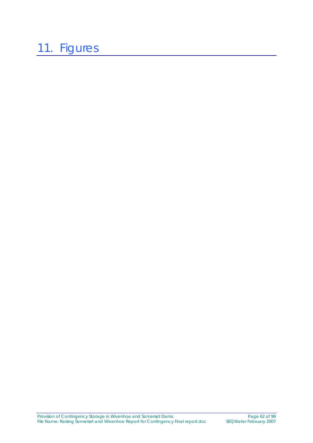# 11. Figures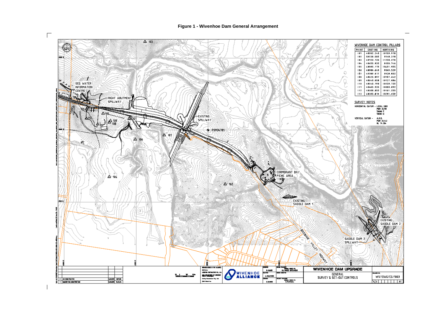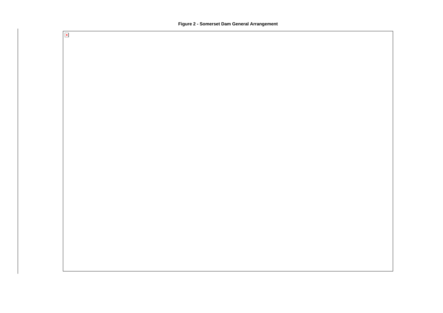

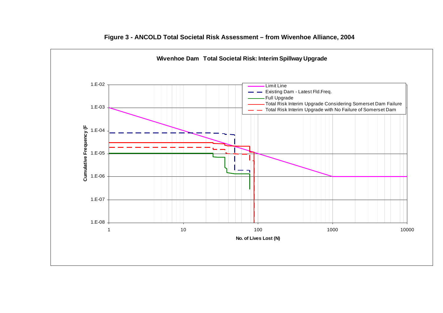

#### **Figure 3 - ANCOLD Total Societal Risk Assessment – from Wivenhoe Alliance, 2004**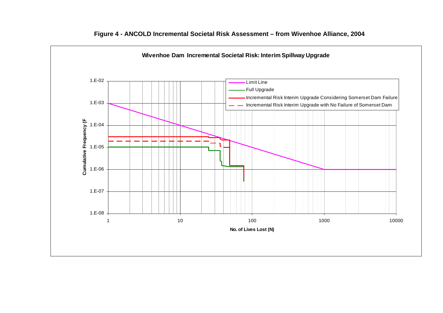

#### **Figure 4 - ANCOLD Incremental Societal Risk Assessment – from Wivenhoe Alliance, 2004**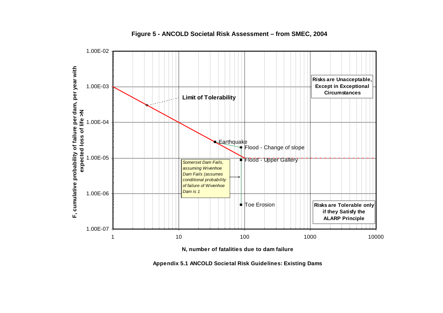

**Figure 5 - ANCOLD Societal Risk Assessment – from SMEC, 2004** 

**N, number of fatalities due to dam failure**

**Appendix 5.1 ANCOLD Societal Risk Guidelines: Existing Dams**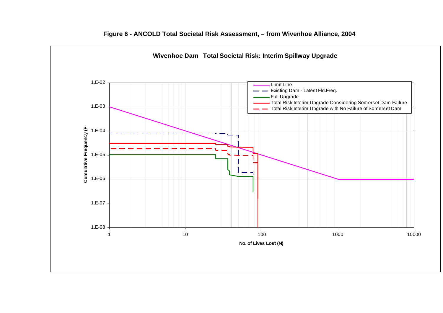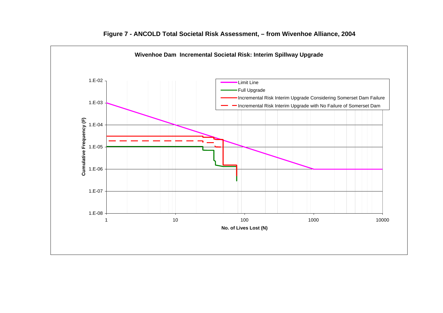

#### **Figure 7 - ANCOLD Total Societal Risk Assessment, – from Wivenhoe Alliance, 2004**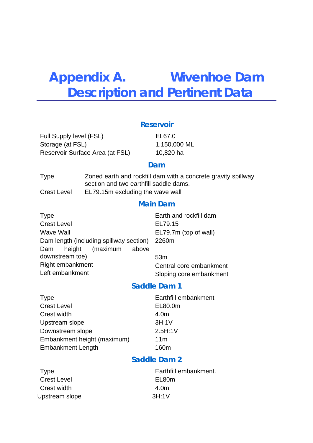# **Appendix A. Wivenhoe Dam Description and Pertinent Data**

#### **Reservoir**

Full Supply level (FSL) EL67.0 Storage (at FSL) 1,150,000 ML Reservoir Surface Area (at FSL) 10,820 ha

#### **Dam**

| Type               | Zoned earth and rockfill dam with a concrete gravity spillway<br>section and two earthfill saddle dams. |
|--------------------|---------------------------------------------------------------------------------------------------------|
| <b>Crest Level</b> | EL79.15m excluding the wave wall                                                                        |

## **Main Dam**

| <b>Type</b>                             | Earth and rockfill dam  |
|-----------------------------------------|-------------------------|
| <b>Crest Level</b>                      | EL79.15                 |
| Wave Wall                               | EL79.7m (top of wall)   |
| Dam length (including spillway section) | 2260m                   |
| Dam height (maximum<br>above            |                         |
| downstream toe)                         | 53 <sub>m</sub>         |
| Right embankment                        | Central core embankment |
| Left embankment                         | Sloping core embankment |

## **Saddle Dam 1**

| <b>Type</b>                 | Earthfill embankment |
|-----------------------------|----------------------|
| <b>Crest Level</b>          | EL80.0m              |
| Crest width                 | 4.0m                 |
| Upstream slope              | 3H:1V                |
| Downstream slope            | 2.5H:1V              |
| Embankment height (maximum) | 11 <sub>m</sub>      |
| <b>Embankment Length</b>    | 160m                 |

## **Saddle Dam 2**

| Type               | Earthfill embankment. |
|--------------------|-----------------------|
| <b>Crest Level</b> | EL80m                 |
| Crest width        | 4.0 <sub>m</sub>      |
| Upstream slope     | 3H:1V                 |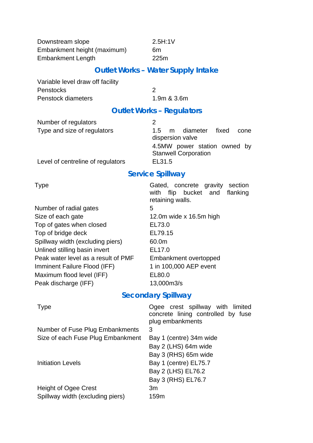Downstream slope 2.5H:1V Embankment height (maximum) 6m Embankment Length 225m

## **Outlet Works – Water Supply Intake**

Variable level draw off facility Penstocks 2 Penstock diameters 1.9m & 3.6m

# **Outlet Works – Regulators**

| Number of regulators              | 2                                                                   |
|-----------------------------------|---------------------------------------------------------------------|
| Type and size of regulators       | diameter<br>fixed<br>$1.5^{\circ}$<br>m<br>cone<br>dispersion valve |
|                                   | 4.5MW power station owned by<br><b>Stanwell Corporation</b>         |
| Level of centreline of regulators | EL31.5                                                              |

# **Service Spillway**

| Number of radial gates              | 5. |
|-------------------------------------|----|
| Size of each gate                   | 12 |
| Top of gates when closed            | El |
| Top of bridge deck                  | El |
| Spillway width (excluding piers)    | 60 |
| Unlined stilling basin invert       | El |
| Peak water level as a result of PMF | Eı |
| Imminent Failure Flood (IFF)        | 1. |
| Maximum flood level (IFF)           | EI |
| Peak discharge (IFF)                | 1: |

Type Type Gated, concrete gravity section with flip bucket and flanking retaining walls.  $12.0m$  wide x 16.5m high EL73.0 EL79.15  $60.0m$ EL17.0 Embankment overtopped  $1$  in 100,000 AEP event  $EL80.0$  $13,000$ m $3/s$ 

## **Secondary Spillway**

| <b>Type</b>                       | Ogee crest spillway with limited<br>concrete lining controlled by fuse<br>plug embankments |
|-----------------------------------|--------------------------------------------------------------------------------------------|
| Number of Fuse Plug Embankments   | 3                                                                                          |
| Size of each Fuse Plug Embankment | Bay 1 (centre) 34m wide                                                                    |
|                                   | Bay 2 (LHS) 64m wide                                                                       |
|                                   | Bay 3 (RHS) 65m wide                                                                       |
| <b>Initiation Levels</b>          | Bay 1 (centre) EL75.7                                                                      |
|                                   | Bay 2 (LHS) EL76.2                                                                         |
|                                   | Bay 3 (RHS) EL76.7                                                                         |
| <b>Height of Ogee Crest</b>       | 3m                                                                                         |
| Spillway width (excluding piers)  | 159m                                                                                       |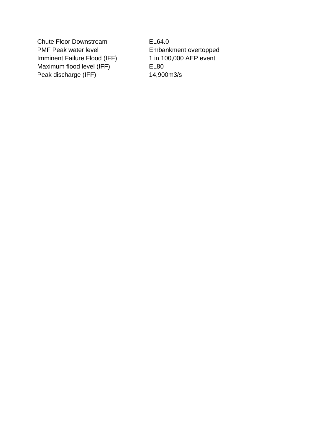Chute Floor Downstream EL64.0 PMF Peak water level **Embankment overtopped** Imminent Failure Flood (IFF) 1 in 100,000 AEP event Maximum flood level (IFF) EL80 Peak discharge (IFF) 14,900m3/s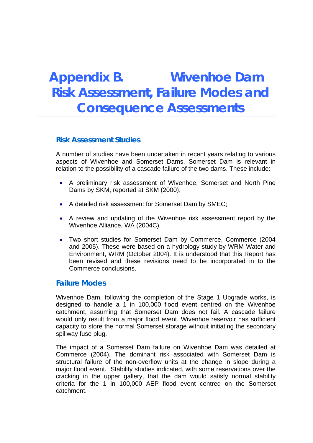# **Appendix B. Wivenhoe Dam Risk Assessment, Failure Modes and Consequence Assessments**

## **Risk Assessment Studies**

A number of studies have been undertaken in recent years relating to various aspects of Wivenhoe and Somerset Dams. Somerset Dam is relevant in relation to the possibility of a cascade failure of the two dams. These include:

- A preliminary risk assessment of Wivenhoe, Somerset and North Pine Dams by SKM, reported at SKM (2000);
- A detailed risk assessment for Somerset Dam by SMEC;
- A review and updating of the Wivenhoe risk assessment report by the Wivenhoe Alliance, WA (2004C).
- Two short studies for Somerset Dam by Commerce, Commerce (2004 and 2005). These were based on a hydrology study by WRM Water and Environment, WRM (October 2004). It is understood that this Report has been revised and these revisions need to be incorporated in to the Commerce conclusions.

## **Failure Modes**

Wivenhoe Dam, following the completion of the Stage 1 Upgrade works, is designed to handle a 1 in 100,000 flood event centred on the Wivenhoe catchment, assuming that Somerset Dam does not fail. A cascade failure would only result from a major flood event. Wivenhoe reservoir has sufficient capacity to store the normal Somerset storage without initiating the secondary spillway fuse plug.

The impact of a Somerset Dam failure on Wivenhoe Dam was detailed at Commerce (2004). The dominant risk associated with Somerset Dam is structural failure of the non-overflow units at the change in slope during a major flood event. Stability studies indicated, with some reservations over the cracking in the upper gallery, that the dam would satisfy normal stability criteria for the 1 in 100,000 AEP flood event centred on the Somerset catchment.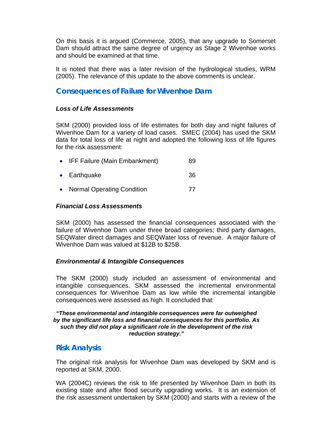On this basis it is argued (Commerce, 2005), that any upgrade to Somerset Dam should attract the same degree of urgency as Stage 2 Wivenhoe works and should be examined at that time.

It is noted that there was a later revision of the hydrological studies, WRM (2005). The relevance of this update to the above comments is unclear.

## **Consequences of Failure for Wivenhoe Dam**

#### *Loss of Life Assessments*

SKM (2000) provided loss of life estimates for both day and night failures of Wivenhoe Dam for a variety of load cases. SMEC (2004) has used the SKM data for total loss of life at night and adopted the following loss of life figures for the risk assessment:

|  | IFF Failure (Main Embankment) | 89 |
|--|-------------------------------|----|
|--|-------------------------------|----|

- Earthquake 36
- Normal Operating Condition 77

#### *Financial Loss Assessments*

SKM (2000) has assessed the financial consequences associated with the failure of Wivenhoe Dam under three broad categories; third party damages, SEQWater direct damages and SEQWater loss of revenue. A major failure of Wivenhoe Dam was valued at \$12B to \$25B.

### *Environmental & Intangible Consequences*

The SKM (2000) study included an assessment of environmental and intangible consequences. SKM assessed the incremental environmental consequences for Wivenhoe Dam as low while the incremental intangible consequences were assessed as high. It concluded that:

#### *"These environmental and intangible consequences were far outweighed by the significant life loss and financial consequences for this portfolio. As such they did not play a significant role in the development of the risk reduction strategy."*

## **Risk Analysis**

The original risk analysis for Wivenhoe Dam was developed by SKM and is reported at SKM, 2000.

WA (2004C) reviews the risk to life presented by Wivenhoe Dam in both its existing state and after flood security upgrading works. It is an extension of the risk assessment undertaken by SKM (2000) and starts with a review of the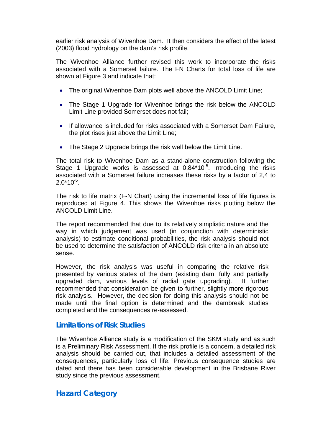earlier risk analysis of Wivenhoe Dam. It then considers the effect of the latest (2003) flood hydrology on the dam's risk profile.

The Wivenhoe Alliance further revised this work to incorporate the risks associated with a Somerset failure. The FN Charts for total loss of life are shown at Figure 3 and indicate that:

- The original Wivenhoe Dam plots well above the ANCOLD Limit Line;
- The Stage 1 Upgrade for Wivenhoe brings the risk below the ANCOLD Limit Line provided Somerset does not fail;
- If allowance is included for risks associated with a Somerset Dam Failure, the plot rises just above the Limit Line;
- The Stage 2 Upgrade brings the risk well below the Limit Line.

The total risk to Wivenhoe Dam as a stand-alone construction following the Stage 1 Upgrade works is assessed at 0.84\*10<sup>-5</sup>. Introducing the risks associated with a Somerset failure increases these risks by a factor of 2,4 to  $2.0*10^{-5}$ .

The risk to life matrix (F-N Chart) using the incremental loss of life figures is reproduced at Figure 4. This shows the Wivenhoe risks plotting below the ANCOLD Limit Line.

The report recommended that due to its relatively simplistic nature and the way in which judgement was used (in conjunction with deterministic analysis) to estimate conditional probabilities, the risk analysis should not be used to determine the satisfaction of ANCOLD risk criteria in an absolute sense.

However, the risk analysis was useful in comparing the relative risk presented by various states of the dam (existing dam, fully and partially upgraded dam, various levels of radial gate upgrading). It further recommended that consideration be given to further, slightly more rigorous risk analysis. However, the decision for doing this analysis should not be made until the final option is determined and the dambreak studies completed and the consequences re-assessed.

## **Limitations of Risk Studies**

The Wivenhoe Alliance study is a modification of the SKM study and as such is a Preliminary Risk Assessment. If the risk profile is a concern, a detailed risk analysis should be carried out, that includes a detailed assessment of the consequences, particularly loss of life. Previous consequence studies are dated and there has been considerable development in the Brisbane River study since the previous assessment.

## **Hazard Category**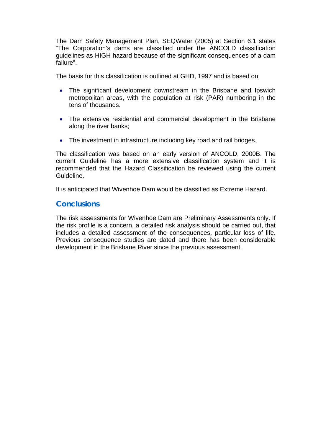The Dam Safety Management Plan, SEQWater (2005) at Section 6.1 states "The Corporation's dams are classified under the ANCOLD classification guidelines as HIGH hazard because of the significant consequences of a dam failure".

The basis for this classification is outlined at GHD, 1997 and is based on:

- The significant development downstream in the Brisbane and Ipswich metropolitan areas, with the population at risk (PAR) numbering in the tens of thousands.
- The extensive residential and commercial development in the Brisbane along the river banks;
- The investment in infrastructure including key road and rail bridges.

The classification was based on an early version of ANCOLD, 2000B. The current Guideline has a more extensive classification system and it is recommended that the Hazard Classification be reviewed using the current Guideline.

It is anticipated that Wivenhoe Dam would be classified as Extreme Hazard.

## **Conclusions**

The risk assessments for Wivenhoe Dam are Preliminary Assessments only. If the risk profile is a concern, a detailed risk analysis should be carried out, that includes a detailed assessment of the consequences, particular loss of life. Previous consequence studies are dated and there has been considerable development in the Brisbane River since the previous assessment.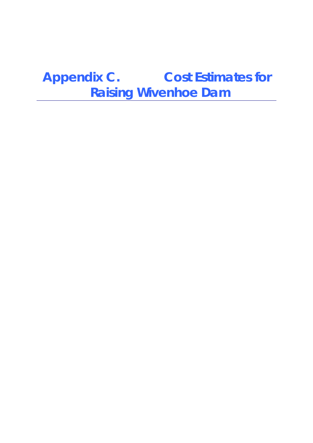**Appendix C. Cost Estimates for Raising Wivenhoe Dam**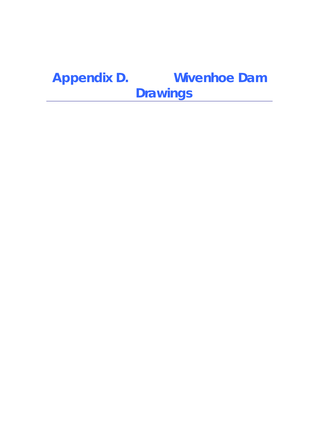# **Appendix D. Wivenhoe Dam Drawings**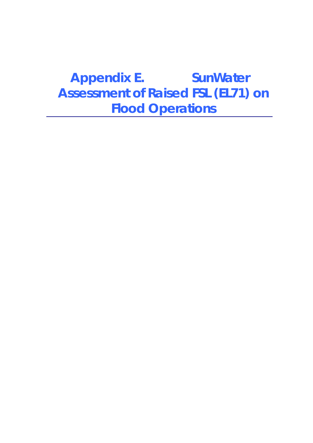# **Appendix E. SunWater Assessment of Raised FSL (EL71) on Flood Operations**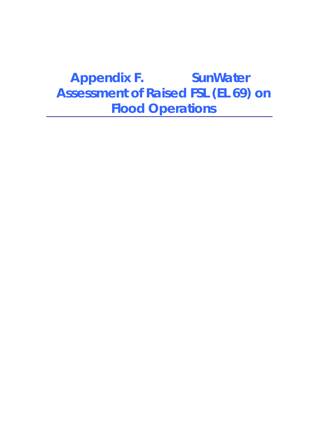# **Appendix F. SunWater Assessment of Raised FSL (EL 69) on Flood Operations**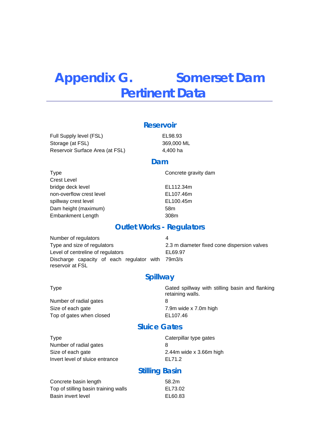# **Appendix G. Somerset Dam Pertinent Data**

### **Reservoir**

Full Supply level (FSL) EL98.93 Storage (at FSL) 369,000 ML Reservoir Surface Area (at FSL) 4,400 ha

#### **Dam**

Type **Concrete gravity dam** Crest Level bridge deck level non-overflow crest level spillway crest level Dam height (maximum) 58m Embankment Length 308m

EL112.34m EL107.46m EL100.45m

### **Outlet Works - Regulators**

Number of regulators 4 Type and size of regulators 2.3 m diameter fixed cone dispersion valves Level of centreline of regulators EL69.97 Discharge capacity of each regulator with 79m3/s reservoir at FSL

## **Spillway**

Number of radial gates 8 Size of each gate **7.9m** wide x 7.0m high Top of gates when closed EL107.46

Type Gated spillway with stilling basin and flanking retaining walls.

## **Sluice Gates**

Type **Caterpillar** type gates Number of radial gates 8 Size of each gate 2.44m wide x 3.66m high Invert level of sluice entrance EL71.2

## **Stilling Basin**

Concrete basin length 58.2m Top of stilling basin training walls EL73.02 Basin invert level exercise the exercise of the EL60.83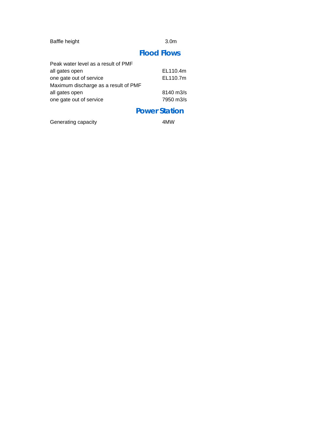Baffle height 3.0m

## **Flood Flows**

| Peak water level as a result of PMF  |                      |  |
|--------------------------------------|----------------------|--|
| all gates open                       | EL110.4m             |  |
| one gate out of service              | EL110.7m             |  |
| Maximum discharge as a result of PMF |                      |  |
| all gates open                       | $8140 \text{ m}$ 3/s |  |
| one gate out of service              | 7950 m3/s            |  |
|                                      |                      |  |

## **Power Station**

Generating capacity **4MW**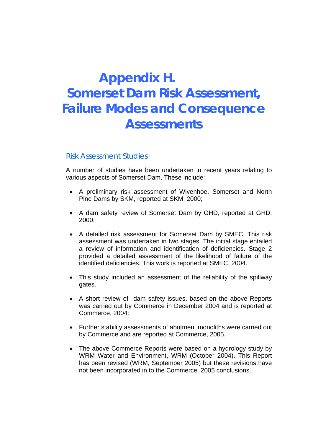# **Appendix H. Somerset Dam Risk Assessment, Failure Modes and Consequence Assessments**

## *Risk Assessment Studies*

A number of studies have been undertaken in recent years relating to various aspects of Somerset Dam. These include:

- A preliminary risk assessment of Wivenhoe, Somerset and North Pine Dams by SKM, reported at SKM, 2000;
- A dam safety review of Somerset Dam by GHD, reported at GHD, 2000;
- A detailed risk assessment for Somerset Dam by SMEC. This risk assessment was undertaken in two stages. The initial stage entailed a review of information and identification of deficiencies. Stage 2 provided a detailed assessment of the likelihood of failure of the identified deficiencies. This work is reported at SMEC, 2004.
- This study included an assessment of the reliability of the spillway gates.
- A short review of dam safety issues, based on the above Reports was carried out by Commerce in December 2004 and is reported at Commerce, 2004:
- Further stability assessments of abutment monoliths were carried out by Commerce and are reported at Commerce, 2005.
- The above Commerce Reports were based on a hydrology study by WRM Water and Environment, WRM (October 2004). This Report has been revised (WRM, September 2005) but these revisions have not been incorporated in to the Commerce, 2005 conclusions.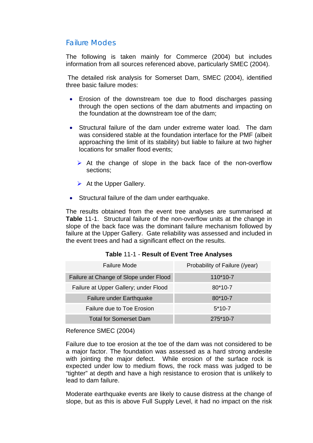## *Failure Modes*

The following is taken mainly for Commerce (2004) but includes information from all sources referenced above, particularly SMEC (2004).

 The detailed risk analysis for Somerset Dam, SMEC (2004), identified three basic failure modes:

- Erosion of the downstream toe due to flood discharges passing through the open sections of the dam abutments and impacting on the foundation at the downstream toe of the dam;
- Structural failure of the dam under extreme water load. The dam was considered stable at the foundation interface for the PMF (albeit approaching the limit of its stability) but liable to failure at two higher locations for smaller flood events;
	- $\triangleright$  At the change of slope in the back face of the non-overflow sections;
	- $\triangleright$  At the Upper Gallery.
- Structural failure of the dam under earthquake.

The results obtained from the event tree analyses are summarised at **Table** 11-1. Structural failure of the non-overflow units at the change in slope of the back face was the dominant failure mechanism followed by failure at the Upper Gallery. Gate reliability was assessed and included in the event trees and had a significant effect on the results.

| Failure Mode                           | Probability of Failure (/year) |
|----------------------------------------|--------------------------------|
| Failure at Change of Slope under Flood | $110*10-7$                     |
| Failure at Upper Gallery; under Flood  | $80*10-7$                      |
| Failure under Earthquake               | $80*10-7$                      |
| Failure due to Toe Erosion             | $5*10-7$                       |
| <b>Total for Somerset Dam</b>          | $275*10-7$                     |

#### **Table** 11-1 - **Result of Event Tree Analyses**

Reference SMEC (2004)

Failure due to toe erosion at the toe of the dam was not considered to be a major factor. The foundation was assessed as a hard strong andesite with jointing the major defect. While erosion of the surface rock is expected under low to medium flows, the rock mass was judged to be "tighter" at depth and have a high resistance to erosion that is unlikely to lead to dam failure.

Moderate earthquake events are likely to cause distress at the change of slope, but as this is above Full Supply Level, it had no impact on the risk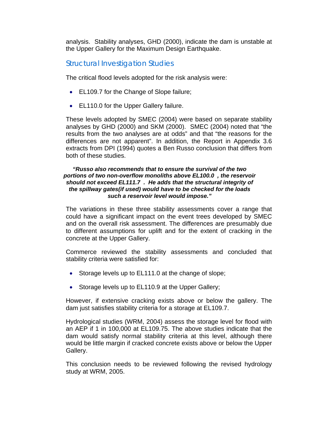analysis. Stability analyses, GHD (2000), indicate the dam is unstable at the Upper Gallery for the Maximum Design Earthquake.

## *Structural Investigation Studies*

The critical flood levels adopted for the risk analysis were:

- EL109.7 for the Change of Slope failure;
- EL110.0 for the Upper Gallery failure.

These levels adopted by SMEC (2004) were based on separate stability analyses by GHD (2000) and SKM (2000). SMEC (2004) noted that "the results from the two analyses are at odds" and that "the reasons for the differences are not apparent". In addition, the Report in Appendix 3.6 extracts from DPI (1994) quotes a Ben Russo conclusion that differs from both of these studies.

#### *"Russo also recommends that to ensure the survival of the two portions of two non-overflow monoliths above EL100.0 , the reservoir should not exceed EL111.7 . He adds that the structural integrity of the spillway gates(if used) would have to be checked for the loads such a reservoir level would impose."*

The variations in these three stability assessments cover a range that could have a significant impact on the event trees developed by SMEC and on the overall risk assessment. The differences are presumably due to different assumptions for uplift and for the extent of cracking in the concrete at the Upper Gallery.

Commerce reviewed the stability assessments and concluded that stability criteria were satisfied for:

- Storage levels up to EL111.0 at the change of slope;
- Storage levels up to EL110.9 at the Upper Gallery;

However, if extensive cracking exists above or below the gallery. The dam just satisfies stability criteria for a storage at EL109.7.

Hydrological studies (WRM, 2004) assess the storage level for flood with an AEP if 1 in 100,000 at EL109.75. The above studies indicate that the dam would satisfy normal stability criteria at this level, although there would be little margin if cracked concrete exists above or below the Upper Gallery.

This conclusion needs to be reviewed following the revised hydrology study at WRM, 2005.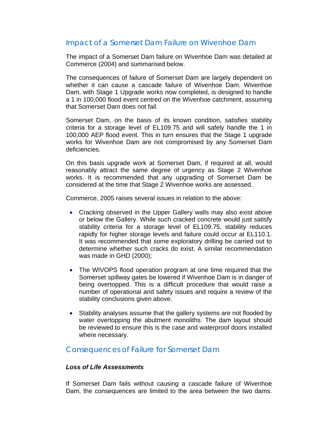## *Impact of a Somerset Dam Failure on Wivenhoe Dam*

The impact of a Somerset Dam failure on Wivenhoe Dam was detailed at Commerce (2004) and summarised below.

The consequences of failure of Somerset Dam are largely dependent on whether it can cause a cascade failure of Wivenhoe Dam. Wivenhoe Dam, with Stage 1 Upgrade works now completed, is designed to handle a 1 in 100,000 flood event centred on the Wivenhoe catchment, assuming that Somerset Dam does not fail.

Somerset Dam, on the basis of its known condition, satisfies stability criteria for a storage level of EL109.75 and will safely handle the 1 in 100,000 AEP flood event. This in turn ensures that the Stage 1 upgrade works for Wivenhoe Dam are not compromised by any Somerset Dam deficiencies.

On this basis upgrade work at Somerset Dam, if required at all, would reasonably attract the same degree of urgency as Stage 2 Wivenhoe works. It is recommended that any upgrading of Somerset Dam be considered at the time that Stage 2 Wivenhoe works are assessed.

Commerce, 2005 raises several issues in relation to the above:

- Cracking observed in the Upper Gallery walls may also exist above or below the Gallery. While such cracked concrete would just satisfy stability criteria for a storage level of EL109.75, stability reduces rapidly for higher storage levels and failure could occur at EL110.1. It was recommended that some exploratory drilling be carried out to determine whether such cracks do exist. A similar recommendation was made in GHD (2000);
- The WIVOPS flood operation program at one time required that the Somerset spillway gates be lowered if Wivenhoe Dam is in danger of being overtopped. This is a difficult procedure that would raise a number of operational and safety issues and require a review of the stability conclusions given above.
- Stability analyses assume that the gallery systems are not flooded by water overtopping the abutment monoliths. The dam layout should be reviewed to ensure this is the case and waterproof doors installed where necessary.

## *Consequences of Failure for Somerset Dam*

### *Loss of Life Assessments*

If Somerset Dam fails without causing a cascade failure of Wivenhoe Dam, the consequences are limited to the area between the two dams.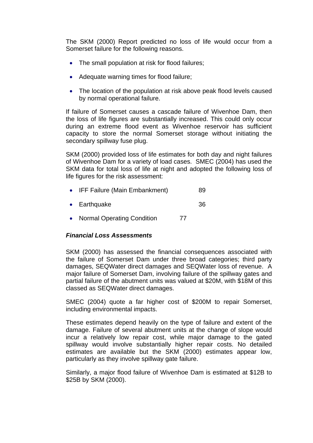The SKM (2000) Report predicted no loss of life would occur from a Somerset failure for the following reasons.

- The small population at risk for flood failures;
- Adequate warning times for flood failure;
- The location of the population at risk above peak flood levels caused by normal operational failure.

If failure of Somerset causes a cascade failure of Wivenhoe Dam, then the loss of life figures are substantially increased. This could only occur during an extreme flood event as Wivenhoe reservoir has sufficient capacity to store the normal Somerset storage without initiating the secondary spillway fuse plug.

SKM (2000) provided loss of life estimates for both day and night failures of Wivenhoe Dam for a variety of load cases. SMEC (2004) has used the SKM data for total loss of life at night and adopted the following loss of life figures for the risk assessment:

- IFF Failure (Main Embankment) 89
- Earthquake 36
- Normal Operating Condition 77

### *Financial Loss Assessments*

SKM (2000) has assessed the financial consequences associated with the failure of Somerset Dam under three broad categories; third party damages, SEQWater direct damages and SEQWater loss of revenue. A major failure of Somerset Dam, involving failure of the spillway gates and partial failure of the abutment units was valued at \$20M, with \$18M of this classed as SEQWater direct damages.

SMEC (2004) quote a far higher cost of \$200M to repair Somerset, including environmental impacts.

These estimates depend heavily on the type of failure and extent of the damage. Failure of several abutment units at the change of slope would incur a relatively low repair cost, while major damage to the gated spillway would involve substantially higher repair costs. No detailed estimates are available but the SKM (2000) estimates appear low, particularly as they involve spillway gate failure.

Similarly, a major flood failure of Wivenhoe Dam is estimated at \$12B to \$25B by SKM (2000).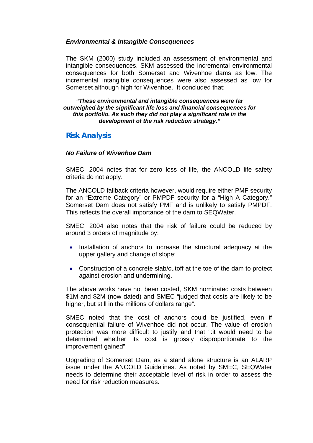#### *Environmental & Intangible Consequences*

The SKM (2000) study included an assessment of environmental and intangible consequences. SKM assessed the incremental environmental consequences for both Somerset and Wivenhoe dams as low. The incremental intangible consequences were also assessed as low for Somerset although high for Wivenhoe. It concluded that:

#### *"These environmental and intangible consequences were far outweighed by the significant life loss and financial consequences for this portfolio. As such they did not play a significant role in the development of the risk reduction strategy."*

## **Risk Analysis**

#### *No Failure of Wivenhoe Dam*

SMEC, 2004 notes that for zero loss of life, the ANCOLD life safety criteria do not apply.

The ANCOLD fallback criteria however, would require either PMF security for an "Extreme Category" or PMPDF security for a "High A Category." Somerset Dam does not satisfy PMF and is unlikely to satisfy PMPDF. This reflects the overall importance of the dam to SEQWater.

SMEC, 2004 also notes that the risk of failure could be reduced by around 3 orders of magnitude by:

- Installation of anchors to increase the structural adequacy at the upper gallery and change of slope;
- Construction of a concrete slab/cutoff at the toe of the dam to protect against erosion and undermining.

The above works have not been costed, SKM nominated costs between \$1M and \$2M (now dated) and SMEC "judged that costs are likely to be higher, but still in the millions of dollars range".

SMEC noted that the cost of anchors could be justified, even if consequential failure of Wivenhoe did not occur. The value of erosion protection was more difficult to justify and that ":it would need to be determined whether its cost is grossly disproportionate to the improvement gained".

Upgrading of Somerset Dam, as a stand alone structure is an ALARP issue under the ANCOLD Guidelines. As noted by SMEC, SEQWater needs to determine their acceptable level of risk in order to assess the need for risk reduction measures.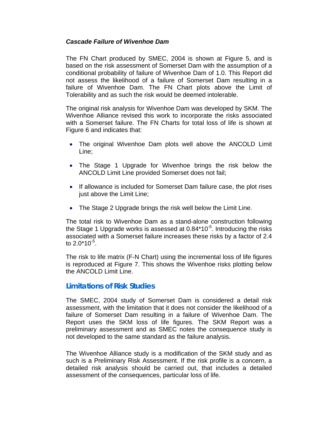### *Cascade Failure of Wivenhoe Dam*

The FN Chart produced by SMEC, 2004 is shown at Figure 5, and is based on the risk assessment of Somerset Dam with the assumption of a conditional probability of failure of Wivenhoe Dam of 1.0. This Report did not assess the likelihood of a failure of Somerset Dam resulting in a failure of Wivenhoe Dam. The FN Chart plots above the Limit of Tolerability and as such the risk would be deemed intolerable.

The original risk analysis for Wivenhoe Dam was developed by SKM. The Wivenhoe Alliance revised this work to incorporate the risks associated with a Somerset failure. The FN Charts for total loss of life is shown at Figure 6 and indicates that:

- The original Wivenhoe Dam plots well above the ANCOLD Limit Line;
- The Stage 1 Upgrade for Wivenhoe brings the risk below the ANCOLD Limit Line provided Somerset does not fail;
- If allowance is included for Somerset Dam failure case, the plot rises just above the Limit Line:
- The Stage 2 Upgrade brings the risk well below the Limit Line.

The total risk to Wivenhoe Dam as a stand-alone construction following the Stage 1 Upgrade works is assessed at  $0.84*10^{-5}$ . Introducing the risks associated with a Somerset failure increases these risks by a factor of 2.4 to  $2.0*10^{-5}$ .

The risk to life matrix (F-N Chart) using the incremental loss of life figures is reproduced at Figure 7. This shows the Wivenhoe risks plotting below the ANCOLD Limit Line.

## **Limitations of Risk Studies**

The SMEC, 2004 study of Somerset Dam is considered a detail risk assessment, with the limitation that it does not consider the likelihood of a failure of Somerset Dam resulting in a failure of Wivenhoe Dam. The Report uses the SKM loss of life figures. The SKM Report was a preliminary assessment and as SMEC notes the consequence study is not developed to the same standard as the failure analysis.

The Wivenhoe Alliance study is a modification of the SKM study and as such is a Preliminary Risk Assessment. If the risk profile is a concern, a detailed risk analysis should be carried out, that includes a detailed assessment of the consequences, particular loss of life.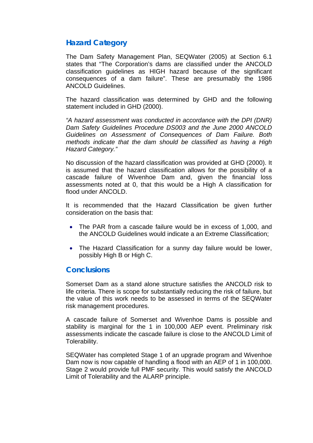## **Hazard Category**

The Dam Safety Management Plan, SEQWater (2005) at Section 6.1 states that "The Corporation's dams are classified under the ANCOLD classification guidelines as HIGH hazard because of the significant consequences of a dam failure". These are presumably the 1986 ANCOLD Guidelines.

The hazard classification was determined by GHD and the following statement included in GHD (2000).

*"A hazard assessment was conducted in accordance with the DPI (DNR) Dam Safety Guidelines Procedure DS003 and the June 2000 ANCOLD Guidelines on Assessment of Consequences of Dam Failure. Both methods indicate that the dam should be classified as having a High Hazard Category."* 

No discussion of the hazard classification was provided at GHD (2000). It is assumed that the hazard classification allows for the possibility of a cascade failure of Wivenhoe Dam and, given the financial loss assessments noted at 0, that this would be a High A classification for flood under ANCOLD.

It is recommended that the Hazard Classification be given further consideration on the basis that:

- The PAR from a cascade failure would be in excess of 1,000, and the ANCOLD Guidelines would indicate a an Extreme Classification;
- The Hazard Classification for a sunny day failure would be lower, possibly High B or High C.

## **Conclusions**

Somerset Dam as a stand alone structure satisfies the ANCOLD risk to life criteria. There is scope for substantially reducing the risk of failure, but the value of this work needs to be assessed in terms of the SEQWater risk management procedures.

A cascade failure of Somerset and Wivenhoe Dams is possible and stability is marginal for the 1 in 100,000 AEP event. Preliminary risk assessments indicate the cascade failure is close to the ANCOLD Limit of Tolerability.

SEQWater has completed Stage 1 of an upgrade program and Wivenhoe Dam now is now capable of handling a flood with an AEP of 1 in 100,000. Stage 2 would provide full PMF security. This would satisfy the ANCOLD Limit of Tolerability and the ALARP principle.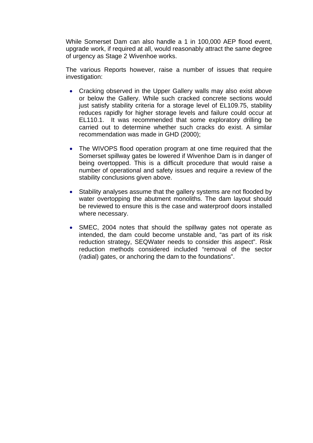While Somerset Dam can also handle a 1 in 100,000 AEP flood event, upgrade work, if required at all, would reasonably attract the same degree of urgency as Stage 2 Wivenhoe works.

The various Reports however, raise a number of issues that require investigation:

- Cracking observed in the Upper Gallery walls may also exist above or below the Gallery. While such cracked concrete sections would just satisfy stability criteria for a storage level of EL109.75, stability reduces rapidly for higher storage levels and failure could occur at EL110.1. It was recommended that some exploratory drilling be carried out to determine whether such cracks do exist. A similar recommendation was made in GHD (2000);
- The WIVOPS flood operation program at one time required that the Somerset spillway gates be lowered if Wivenhoe Dam is in danger of being overtopped. This is a difficult procedure that would raise a number of operational and safety issues and require a review of the stability conclusions given above.
- Stability analyses assume that the gallery systems are not flooded by water overtopping the abutment monoliths. The dam layout should be reviewed to ensure this is the case and waterproof doors installed where necessary.
- SMEC, 2004 notes that should the spillway gates not operate as intended, the dam could become unstable and, "as part of its risk reduction strategy, SEQWater needs to consider this aspect". Risk reduction methods considered included "removal of the sector (radial) gates, or anchoring the dam to the foundations".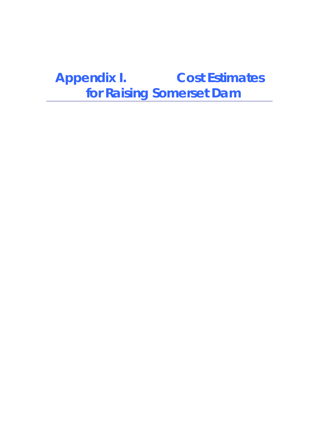**Appendix I. Cost Estimates for Raising Somerset Dam**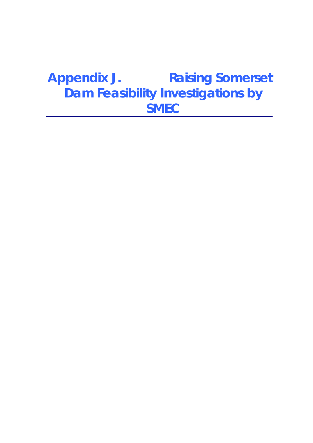# **Appendix J. Raising Somerset Dam Feasibility Investigations by SMEC**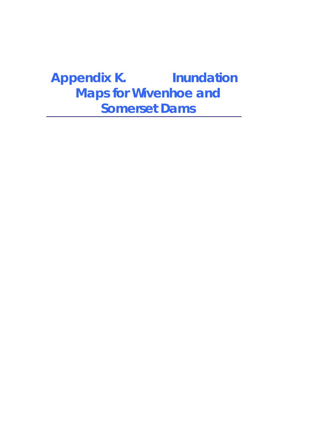# **Appendix K. Inundation Maps for Wivenhoe and Somerset Dams**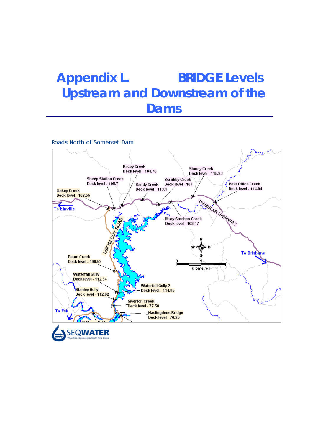# **Appendix L. BRIDGE Levels Upstream and Downstream of the Dams**

Roads North of Somerset Dam

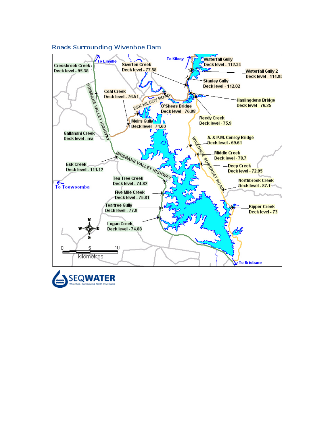

#### Roads Surrounding Wivenhoe Dam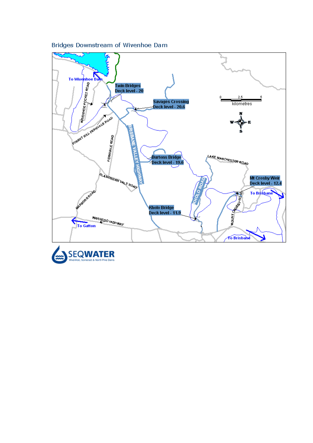

Bridges Downstream of Wivenhoe Dam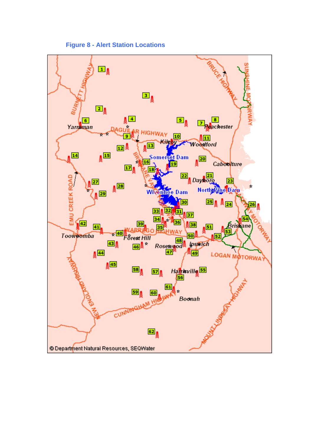